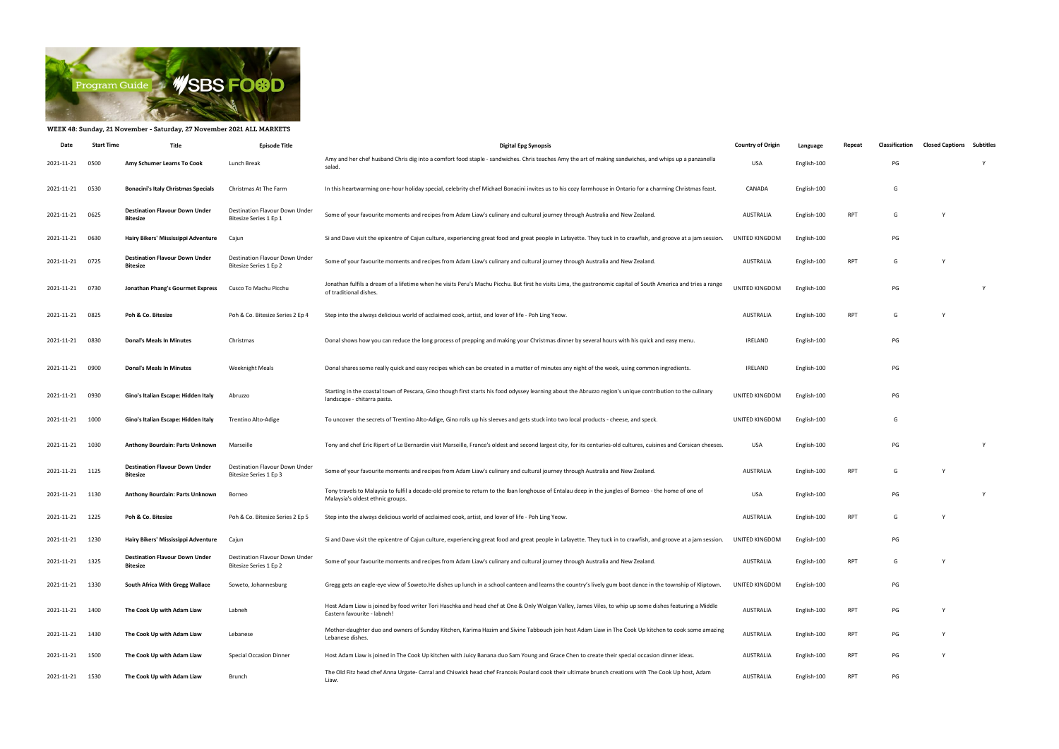

## WEEK 48: Sunday, 21 November - Saturday, 27 November 2021 ALL MARKETS

| Date            | <b>Start Time</b> | Title                                                    | <b>Episode Title</b>                                     | <b>Digital Epg Synopsis</b>                                                                                                                                                               | <b>Country of Origin</b> | Language    | Repeat     | <b>Classification</b> | <b>Closed Captions Subtitles</b> |  |
|-----------------|-------------------|----------------------------------------------------------|----------------------------------------------------------|-------------------------------------------------------------------------------------------------------------------------------------------------------------------------------------------|--------------------------|-------------|------------|-----------------------|----------------------------------|--|
| 2021-11-21      | 0500              | Amy Schumer Learns To Cook                               | Lunch Break                                              | Amy and her chef husband Chris dig into a comfort food staple - sandwiches. Chris teaches Amy the art of making sandwiches, and whips up a panzanella<br>salad.                           | <b>USA</b>               | English-100 |            | PG                    |                                  |  |
| 2021-11-21      | 0530              | <b>Bonacini's Italy Christmas Specials</b>               | Christmas At The Farm                                    | In this heartwarming one-hour holiday special, celebrity chef Michael Bonacini invites us to his cozy farmhouse in Ontario for a charming Christmas feast.                                | CANADA                   | English-100 |            | G                     |                                  |  |
| 2021-11-21      | 0625              | <b>Destination Flavour Down Under</b><br>Bitesize        | Destination Flavour Down Under<br>Bitesize Series 1 Ep 1 | Some of your favourite moments and recipes from Adam Liaw's culinary and cultural journey through Australia and New Zealand.                                                              | AUSTRALIA                | English-100 | RPT        | G                     | Y                                |  |
| 2021-11-21      | 0630              | Hairy Bikers' Mississippi Adventure                      | Cajun                                                    | Si and Dave visit the epicentre of Cajun culture, experiencing great food and great people in Lafayette. They tuck in to crawfish, and groove at a jam session.                           | UNITED KINGDOM           | English-100 |            | PG                    |                                  |  |
| 2021-11-21      | 0725              | <b>Destination Flavour Down Under</b><br>Bitesize        | Destination Flavour Down Under<br>Bitesize Series 1 Ep 2 | Some of your favourite moments and recipes from Adam Liaw's culinary and cultural journey through Australia and New Zealand.                                                              | AUSTRALIA                | English-100 | <b>RPT</b> | G                     |                                  |  |
| 2021-11-21      | 0730              | Jonathan Phang's Gourmet Express                         | Cusco To Machu Picchu                                    | Jonathan fulfils a dream of a lifetime when he visits Peru's Machu Picchu. But first he visits Lima, the gastronomic capital of South America and tries a range<br>of traditional dishes. | UNITED KINGDOM           | English-100 |            | PG                    |                                  |  |
| 2021-11-21      | 0825              | Poh & Co. Bitesize                                       | Poh & Co. Bitesize Series 2 Ep 4                         | Step into the always delicious world of acclaimed cook, artist, and lover of life - Poh Ling Yeow.                                                                                        | AUSTRALIA                | English-100 | <b>RPT</b> | G                     |                                  |  |
| 2021-11-21      | 0830              | <b>Donal's Meals In Minutes</b>                          | Christmas                                                | Donal shows how you can reduce the long process of prepping and making your Christmas dinner by several hours with his quick and easy menu.                                               | IRELAND                  | English-100 |            | PG                    |                                  |  |
| 2021-11-21      | 0900              | <b>Donal's Meals In Minutes</b>                          | <b>Weeknight Meals</b>                                   | Donal shares some really quick and easy recipes which can be created in a matter of minutes any night of the week, using common ingredients.                                              | IRELAND                  | English-100 |            | PG                    |                                  |  |
| 2021-11-21      | 0930              | Gino's Italian Escape: Hidden Italy                      | Abruzzo                                                  | Starting in the coastal town of Pescara, Gino though first starts his food odyssey learning about the Abruzzo region's unique contribution to the culinary<br>landscape - chitarra pasta. | UNITED KINGDOM           | English-100 |            | PG                    |                                  |  |
| 2021-11-21      | 1000              | Gino's Italian Escape: Hidden Italy                      | Trentino Alto-Adige                                      | To uncover the secrets of Trentino Alto-Adige, Gino rolls up his sleeves and gets stuck into two local products - cheese, and speck.                                                      | UNITED KINGDOM           | English-100 |            | G                     |                                  |  |
| 2021-11-21      | 1030              | Anthony Bourdain: Parts Unknown                          | Marseille                                                | Tony and chef Eric Ripert of Le Bernardin visit Marseille, France's oldest and second largest city, for its centuries-old cultures, cuisines and Corsican cheeses.                        | <b>USA</b>               | English-100 |            | PG                    |                                  |  |
| 2021-11-21      | 1125              | <b>Destination Flavour Down Under</b><br><b>Bitesize</b> | Destination Flavour Down Under<br>Bitesize Series 1 Ep 3 | Some of your favourite moments and recipes from Adam Liaw's culinary and cultural journey through Australia and New Zealand.                                                              | AUSTRALIA                | English-100 | RPT        | G                     | Y                                |  |
| 2021-11-21      | 1130              | Anthony Bourdain: Parts Unknown                          | Borneo                                                   | Tony travels to Malaysia to fulfil a decade-old promise to return to the Iban longhouse of Entalau deep in the jungles of Borneo - the home of one of<br>Malaysia's oldest ethnic groups. | <b>USA</b>               | English-100 |            | PG                    |                                  |  |
| 2021-11-21      | 1225              | Poh & Co. Bitesize                                       | Poh & Co. Bitesize Series 2 Ep 5                         | Step into the always delicious world of acclaimed cook, artist, and lover of life - Poh Ling Yeow.                                                                                        | <b>AUSTRALIA</b>         | English-100 | RPT        | G                     | Y                                |  |
| 2021-11-21 1230 |                   | Hairy Bikers' Mississippi Adventure                      | Cajun                                                    | Si and Dave visit the epicentre of Cajun culture, experiencing great food and great people in Lafayette. They tuck in to crawfish, and groove at a jam session.                           | UNITED KINGDOM           | English-100 |            | PG                    |                                  |  |
| 2021-11-21      | 1325              | <b>Destination Flavour Down Under</b><br><b>Bitesize</b> | Destination Flavour Down Under<br>Bitesize Series 1 Ep 2 | Some of your favourite moments and recipes from Adam Liaw's culinary and cultural journey through Australia and New Zealand.                                                              | AUSTRALIA                | English-100 | <b>RPT</b> | G                     | Y                                |  |
| 2021-11-21      | 1330              | South Africa With Gregg Wallace                          | Soweto, Johannesburg                                     | Gregg gets an eagle-eye view of Soweto.He dishes up lunch in a school canteen and learns the country's lively gum boot dance in the township of Kliptown                                  | UNITED KINGDOM           | English-100 |            | PG                    |                                  |  |
| 2021-11-21 1400 |                   | The Cook Up with Adam Liaw                               | Labneh                                                   | Host Adam Liaw is joined by food writer Tori Haschka and head chef at One & Only Wolgan Valley, James Viles, to whip up some dishes featuring a Middle<br>Eastern favourite - labneh!     | AUSTRALIA                | English-100 | <b>RPT</b> | PG                    | Y                                |  |
| 2021-11-21      | 1430              | The Cook Up with Adam Liaw                               | Lebanese                                                 | Mother-daughter duo and owners of Sunday Kitchen, Karima Hazim and Sivine Tabbouch join host Adam Liaw in The Cook Up kitchen to cook some amazing<br>Lebanese dishes.                    | AUSTRALIA                | English-100 | <b>RPT</b> | PG                    | Y                                |  |
| 2021-11-21      | 1500              | The Cook Up with Adam Liaw                               | <b>Special Occasion Dinner</b>                           | Host Adam Liaw is joined in The Cook Up kitchen with Juicy Banana duo Sam Young and Grace Chen to create their special occasion dinner ideas.                                             | AUSTRALIA                | English-100 | <b>RPT</b> | PG                    | Y                                |  |
| 2021-11-21      | 1530              | The Cook Up with Adam Liaw                               | Brunch                                                   | The Old Fitz head chef Anna Urgate- Carral and Chiswick head chef Francois Poulard cook their ultimate brunch creations with The Cook Up host, Adam<br>Liaw.                              | AUSTRALIA                | English-100 | <b>RPT</b> | PG                    |                                  |  |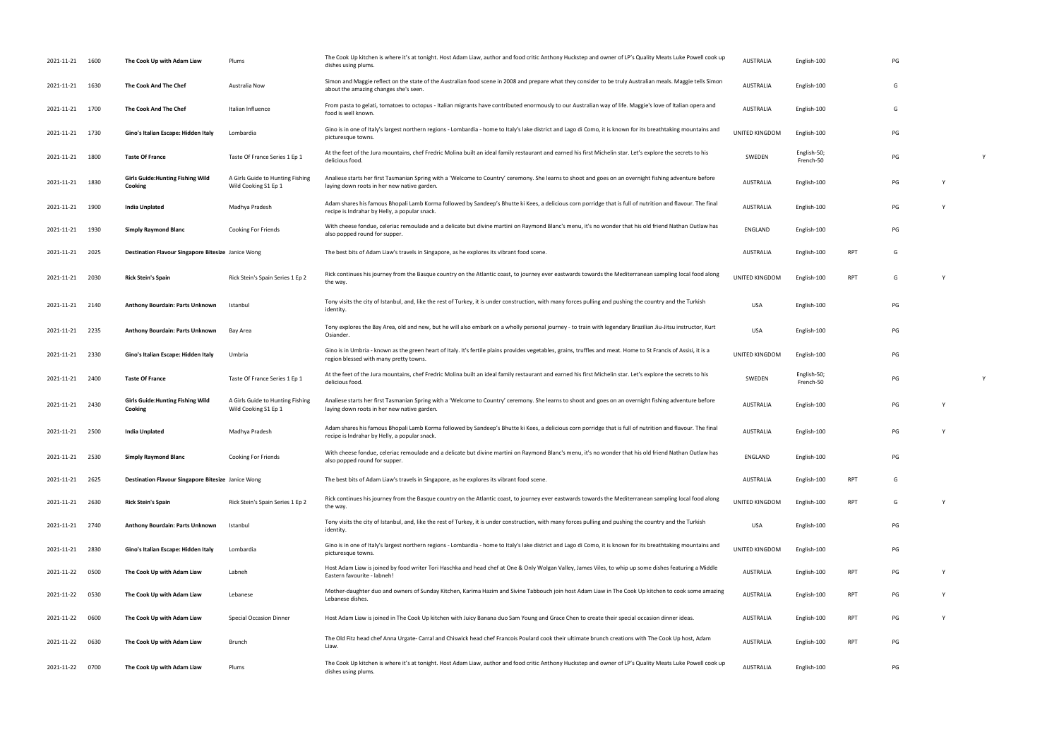| 2021-11-21 1600 |      | The Cook Up with Adam Liaw                          | Plums                                                    | The Cook Up kitchen is where it's at tonight. Host Adam Liaw, author and food critic Anthony Huckstep and owner of LP's Quality Meats Luke Powell cook up<br>dishes using plums.                            | <b>AUSTRALIA</b> | English-100              |            | PG |          |   |
|-----------------|------|-----------------------------------------------------|----------------------------------------------------------|-------------------------------------------------------------------------------------------------------------------------------------------------------------------------------------------------------------|------------------|--------------------------|------------|----|----------|---|
| 2021-11-21 1630 |      | The Cook And The Chef                               | Australia Now                                            | Simon and Maggie reflect on the state of the Australian food scene in 2008 and prepare what they consider to be truly Australian meals. Maggie tells Simon<br>about the amazing changes she's seen.         | AUSTRALIA        | English-100              |            | G  |          |   |
| 2021-11-21 1700 |      | The Cook And The Chef                               | Italian Influence                                        | From pasta to gelati, tomatoes to octopus - Italian migrants have contributed enormously to our Australian way of life. Maggie's love of Italian opera and<br>food is well known.                           | <b>AUSTRALIA</b> | English-100              |            | G  |          |   |
| 2021-11-21 1730 |      | Gino's Italian Escape: Hidden Italy                 | Lombardia                                                | Gino is in one of Italy's largest northern regions - Lombardia - home to Italy's lake district and Lago di Como, it is known for its breathtaking mountains and<br>picturesque towns.                       | UNITED KINGDOM   | English-100              |            | PG |          |   |
| 2021-11-21 1800 |      | <b>Taste Of France</b>                              | Taste Of France Series 1 Ep 1                            | At the feet of the Jura mountains, chef Fredric Molina built an ideal family restaurant and earned his first Michelin star. Let's explore the secrets to his<br>delicious food.                             | SWEDEN           | English-50;<br>French-50 |            | PG |          |   |
| 2021-11-21 1830 |      | <b>Girls Guide: Hunting Fishing Wild</b><br>Cooking | A Girls Guide to Hunting Fishing<br>Wild Cooking S1 Ep 1 | Analiese starts her first Tasmanian Spring with a 'Welcome to Country' ceremony. She learns to shoot and goes on an overnight fishing adventure before<br>laying down roots in her new native garden.       | AUSTRALIA        | English-100              |            | PG | <b>V</b> |   |
| 2021-11-21 1900 |      | India Unplated                                      | Madhya Pradesh                                           | Adam shares his famous Bhopali Lamb Korma followed by Sandeep's Bhutte ki Kees, a delicious corn porridge that is full of nutrition and flavour. The final<br>recipe is Indrahar by Helly, a popular snack. | AUSTRALIA        | English-100              |            | PG |          |   |
| 2021-11-21 1930 |      | <b>Simply Raymond Blanc</b>                         | Cooking For Friends                                      | With cheese fondue, celeriac remoulade and a delicate but divine martini on Raymond Blanc's menu, it's no wonder that his old friend Nathan Outlaw has<br>also popped round for supper.                     | ENGLAND          | English-100              |            | PG |          |   |
| 2021-11-21 2025 |      | Destination Flavour Singapore Bitesize Janice Wong  |                                                          | The best bits of Adam Liaw's travels in Singapore, as he explores its vibrant food scene.                                                                                                                   | AUSTRALIA        | English-100              | RPT        | G  |          |   |
| 2021-11-21 2030 |      | <b>Rick Stein's Spain</b>                           | Rick Stein's Spain Series 1 Ep 2                         | Rick continues his journey from the Basque country on the Atlantic coast, to journey ever eastwards towards the Mediterranean sampling local food along<br>the way.                                         | UNITED KINGDOM   | English-100              | RPT        | G  |          |   |
| 2021-11-21 2140 |      | Anthony Bourdain: Parts Unknown                     | Istanbul                                                 | Tony visits the city of Istanbul, and, like the rest of Turkey, it is under construction, with many forces pulling and pushing the country and the Turkish<br>identity.                                     | <b>USA</b>       | English-100              |            | PG |          |   |
| 2021-11-21 2235 |      | Anthony Bourdain: Parts Unknown                     | Bay Area                                                 | Tony explores the Bay Area, old and new, but he will also embark on a wholly personal journey - to train with legendary Brazilian Jiu-Jitsu instructor, Kurt<br>Osiander.                                   | <b>USA</b>       | English-100              |            | PG |          |   |
| 2021-11-21 2330 |      | Gino's Italian Escape: Hidden Italy                 | Umbria                                                   | Gino is in Umbria - known as the green heart of Italy. It's fertile plains provides vegetables, grains, truffles and meat. Home to St Francis of Assisi, it is a<br>region blessed with many pretty towns.  | UNITED KINGDOM   | English-100              |            | PG |          |   |
| 2021-11-21 2400 |      | <b>Taste Of France</b>                              | Taste Of France Series 1 Ep 1                            | At the feet of the Jura mountains, chef Fredric Molina built an ideal family restaurant and earned his first Michelin star. Let's explore the secrets to his<br>delicious food.                             | SWEDEN           | English-50;<br>French-50 |            | PG |          | Y |
| 2021-11-21 2430 |      | <b>Girls Guide: Hunting Fishing Wild</b><br>Cooking | A Girls Guide to Hunting Fishing<br>Wild Cooking S1 Ep 1 | Analiese starts her first Tasmanian Spring with a 'Welcome to Country' ceremony. She learns to shoot and goes on an overnight fishing adventure before<br>laying down roots in her new native garden.       | AUSTRALIA        | English-100              |            | PG |          |   |
| 2021-11-21 2500 |      | India Unplated                                      | Madhya Pradesh                                           | Adam shares his famous Bhopali Lamb Korma followed by Sandeep's Bhutte ki Kees, a delicious corn porridge that is full of nutrition and flavour. The final<br>recipe is Indrahar by Helly, a popular snack. | <b>AUSTRALIA</b> | English-100              |            | PG | Y        |   |
| 2021-11-21 2530 |      | <b>Simply Raymond Blanc</b>                         | Cooking For Friends                                      | With cheese fondue, celeriac remoulade and a delicate but divine martini on Raymond Blanc's menu, it's no wonder that his old friend Nathan Outlaw has<br>also popped round for supper.                     | ENGLAND          | English-100              |            | PG |          |   |
| 2021-11-21 2625 |      | Destination Flavour Singapore Bitesize Janice Wong  |                                                          | The best bits of Adam Liaw's travels in Singapore, as he explores its vibrant food scene.                                                                                                                   | <b>AUSTRALIA</b> | English-100              | <b>RPT</b> | G  |          |   |
| 2021-11-21 2630 |      | <b>Rick Stein's Spain</b>                           | Rick Stein's Spain Series 1 Ep 2                         | Rick continues his journey from the Basque country on the Atlantic coast, to journey ever eastwards towards the Mediterranean sampling local food along<br>the way.                                         | UNITED KINGDOM   | English-100              | RPT        | G  | Y        |   |
| 2021-11-21 2740 |      | Anthony Bourdain: Parts Unknown                     | Istanbul                                                 | Tony visits the city of Istanbul, and, like the rest of Turkey, it is under construction, with many forces pulling and pushing the country and the Turkish<br>identity.                                     | USA              | English-100              |            | PG |          |   |
| 2021-11-21 2830 |      | Gino's Italian Escape: Hidden Italy                 | Lombardia                                                | Gino is in one of Italy's largest northern regions - Lombardia - home to Italy's lake district and Lago di Como, it is known for its breathtaking mountains and<br>picturesque towns.                       | UNITED KINGDOM   | English-100              |            | PG |          |   |
| 2021-11-22      | 0500 | The Cook Up with Adam Liaw                          | Labneh                                                   | Host Adam Liaw is joined by food writer Tori Haschka and head chef at One & Only Wolgan Valley, James Viles, to whip up some dishes featuring a Middle<br>Eastern favourite - labneh!                       | AUSTRALIA        | English-100              | <b>RPT</b> | PG | <b>V</b> |   |
| 2021-11-22      | 0530 | The Cook Up with Adam Liaw                          | Lebanese                                                 | Mother-daughter duo and owners of Sunday Kitchen, Karima Hazim and Sivine Tabbouch join host Adam Liaw in The Cook Up kitchen to cook some amazing<br>Lebanese dishes.                                      | <b>AUSTRALIA</b> | English-100              | <b>RPT</b> | PG |          |   |
| 2021-11-22      | 0600 | The Cook Up with Adam Liaw                          | <b>Special Occasion Dinner</b>                           | Host Adam Liaw is joined in The Cook Up kitchen with Juicy Banana duo Sam Young and Grace Chen to create their special occasion dinner ideas.                                                               | AUSTRALIA        | English-100              | RPT        | PG | <b>V</b> |   |
| 2021-11-22      | 0630 | The Cook Up with Adam Liaw                          | Brunch                                                   | The Old Fitz head chef Anna Urgate- Carral and Chiswick head chef Francois Poulard cook their ultimate brunch creations with The Cook Up host, Adam<br>Liaw.                                                | AUSTRALIA        | English-100              | RPT        | PG |          |   |
| 2021-11-22      | 0700 | The Cook Up with Adam Liaw                          | Plums                                                    | The Cook Up kitchen is where it's at tonight. Host Adam Liaw, author and food critic Anthony Huckstep and owner of LP's Quality Meats Luke Powell cook up<br>dishes using plums.                            | AUSTRALIA        | English-100              |            | PG |          |   |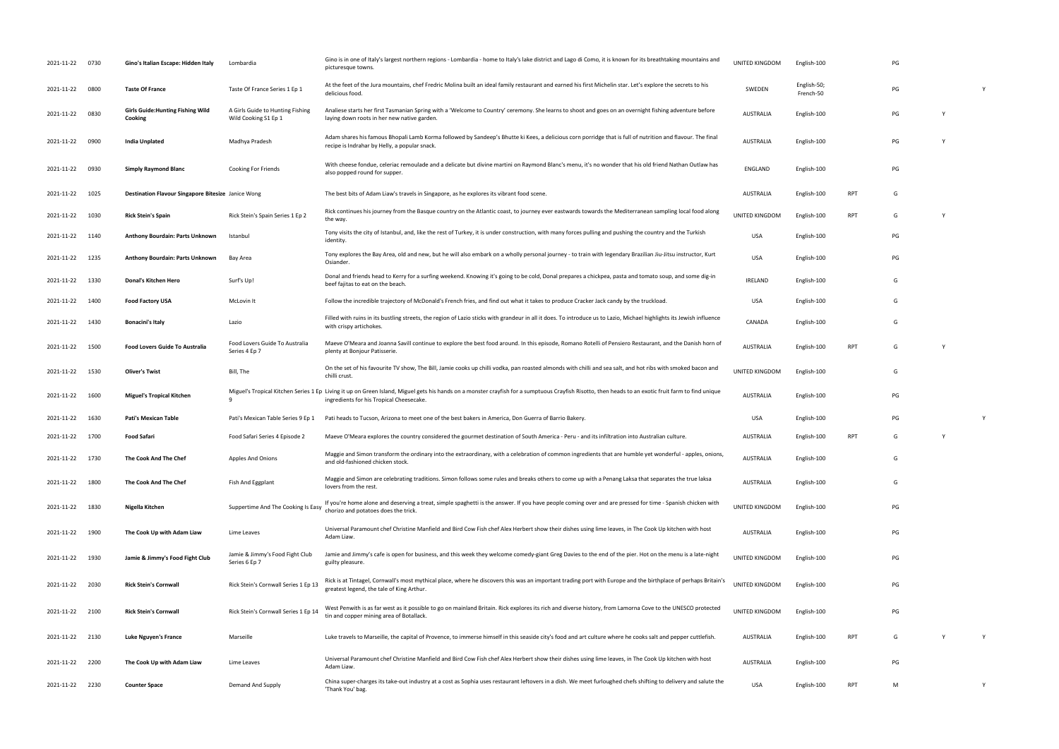| 2021-11-22 0730 |      | Gino's Italian Escape: Hidden Italy                 | Lombardia                                                | Gino is in one of Italy's largest northern regions - Lombardia - home to Italy's lake district and Lago di Como, it is known for its breathtaking mountains and<br>picturesque towns.                                                           | UNITED KINGDOM   | English-100              |            | PG |   |
|-----------------|------|-----------------------------------------------------|----------------------------------------------------------|-------------------------------------------------------------------------------------------------------------------------------------------------------------------------------------------------------------------------------------------------|------------------|--------------------------|------------|----|---|
| 2021-11-22      | 0800 | <b>Taste Of France</b>                              | Taste Of France Series 1 Ep 1                            | At the feet of the Jura mountains, chef Fredric Molina built an ideal family restaurant and earned his first Michelin star. Let's explore the secrets to his<br>delicious food.                                                                 | SWEDEN           | English-50;<br>French-50 |            | PG |   |
| 2021-11-22      | 0830 | <b>Girls Guide: Hunting Fishing Wild</b><br>Cooking | A Girls Guide to Hunting Fishing<br>Wild Cooking S1 Ep 1 | Analiese starts her first Tasmanian Spring with a 'Welcome to Country' ceremony. She learns to shoot and goes on an overnight fishing adventure before<br>laying down roots in her new native garden.                                           | <b>AUSTRALIA</b> | English-100              |            | PG |   |
| 2021-11-22      | 0900 | <b>India Unplated</b>                               | Madhya Pradesh                                           | Adam shares his famous Bhopali Lamb Korma followed by Sandeep's Bhutte ki Kees, a delicious corn porridge that is full of nutrition and flavour. The final<br>recipe is Indrahar by Helly, a popular snack.                                     | <b>AUSTRALIA</b> | English-100              |            | PG |   |
| 2021-11-22      | 0930 | <b>Simply Raymond Blanc</b>                         | Cooking For Friends                                      | With cheese fondue, celeriac remoulade and a delicate but divine martini on Raymond Blanc's menu, it's no wonder that his old friend Nathan Outlaw has<br>also popped round for supper.                                                         | ENGLAND          | English-100              |            | PG |   |
| 2021-11-22      | 1025 | Destination Flavour Singapore Bitesize Janice Wong  |                                                          | The best bits of Adam Liaw's travels in Singapore, as he explores its vibrant food scene.                                                                                                                                                       | <b>AUSTRALIA</b> | English-100              | RPT        | G  |   |
| 2021-11-22 1030 |      | <b>Rick Stein's Spain</b>                           | Rick Stein's Spain Series 1 Ep 2                         | Rick continues his journey from the Basque country on the Atlantic coast, to journey ever eastwards towards the Mediterranean sampling local food along<br>the way.                                                                             | UNITED KINGDOM   | English-100              | RPT        | G  |   |
| 2021-11-22 1140 |      | Anthony Bourdain: Parts Unknown                     | Istanbul                                                 | Tony visits the city of Istanbul, and, like the rest of Turkey, it is under construction, with many forces pulling and pushing the country and the Turkish<br>identity.                                                                         | <b>USA</b>       | English-100              |            | PG |   |
| 2021-11-22 1235 |      | Anthony Bourdain: Parts Unknown                     | Bay Area                                                 | Tony explores the Bay Area, old and new, but he will also embark on a wholly personal journey - to train with legendary Brazilian Jiu-Jitsu instructor, Kurt<br>Osiander.                                                                       | USA              | English-100              |            | PG |   |
| 2021-11-22      | 1330 | Donal's Kitchen Hero                                | Surf's Up!                                               | Donal and friends head to Kerry for a surfing weekend. Knowing it's going to be cold, Donal prepares a chickpea, pasta and tomato soup, and some dig-in<br>beef fajitas to eat on the beach                                                     | <b>IRELAND</b>   | English-100              |            | G  |   |
| 2021-11-22      | 1400 | <b>Food Factory USA</b>                             | McLovin It                                               | Follow the incredible trajectory of McDonald's French fries, and find out what it takes to produce Cracker Jack candy by the truckload.                                                                                                         | <b>USA</b>       | English-100              |            | G  |   |
| 2021-11-22 1430 |      | <b>Bonacini's Italy</b>                             | Lazio                                                    | Filled with ruins in its bustling streets, the region of Lazio sticks with grandeur in all it does. To introduce us to Lazio, Michael highlights its Jewish influence<br>with crispy artichokes.                                                | CANADA           | English-100              |            | G  |   |
| 2021-11-22      | 1500 | <b>Food Lovers Guide To Australia</b>               | Food Lovers Guide To Australia<br>Series 4 Ep 7          | Maeve O'Meara and Joanna Savill continue to explore the best food around. In this episode, Romano Rotelli of Pensiero Restaurant, and the Danish horn of<br>plenty at Bonjour Patisserie.                                                       | <b>AUSTRALIA</b> | English-100              | <b>RPT</b> | G  |   |
| 2021-11-22      | 1530 | <b>Oliver's Twist</b>                               | Bill, The                                                | On the set of his favourite TV show, The Bill, Jamie cooks up chilli vodka, pan roasted almonds with chilli and sea salt, and hot ribs with smoked bacon and<br>chilli crust.                                                                   | UNITED KINGDOM   | English-100              |            | G  |   |
| 2021-11-22      | 1600 | <b>Miguel's Tropical Kitchen</b>                    | $\mathbf{q}$                                             | Miguel's Tropical Kitchen Series 1 Ep Living it up on Green Island, Miguel gets his hands on a monster crayfish for a sumptuous Crayfish Risotto, then heads to an exotic fruit farm to find unique<br>ingredients for his Tropical Cheesecake. | <b>AUSTRALIA</b> | English-100              |            | PG |   |
| 2021-11-22      | 1630 | <b>Pati's Mexican Table</b>                         | Pati's Mexican Table Series 9 Ep 1                       | Pati heads to Tucson, Arizona to meet one of the best bakers in America, Don Guerra of Barrio Bakery.                                                                                                                                           | <b>USA</b>       | English-100              |            | PG |   |
| 2021-11-22      | 1700 | Food Safari                                         | Food Safari Series 4 Episode 2                           | Maeve O'Meara explores the country considered the gourmet destination of South America - Peru - and its infiltration into Australian culture.                                                                                                   | <b>AUSTRALIA</b> | English-100              | RPT        | G  |   |
| 2021-11-22 1730 |      | The Cook And The Chef                               | Apples And Onions                                        | Maggie and Simon transform the ordinary into the extraordinary, with a celebration of common ingredients that are humble yet wonderful - apples, onions,<br>and old-fashioned chicken stock.                                                    | <b>AUSTRALIA</b> | English-100              |            | G  |   |
| 2021-11-22      | 1800 | The Cook And The Chef                               | Fish And Eggplant                                        | Maggie and Simon are celebrating traditions. Simon follows some rules and breaks others to come up with a Penang Laksa that separates the true laksa<br>lovers from the rest.                                                                   | <b>AUSTRALIA</b> | English-100              |            | G  |   |
| 2021-11-22      | 1830 | Nigella Kitchen                                     | Suppertime And The Cooking Is Easy                       | If you're home alone and deserving a treat, simple spaghetti is the answer. If you have people coming over and are pressed for time - Spanish chicken with<br>chorizo and potatoes does the trick.                                              | UNITED KINGDOM   | English-100              |            | PG |   |
| 2021-11-22 1900 |      | The Cook Up with Adam Liaw                          | Lime Leaves                                              | Universal Paramount chef Christine Manfield and Bird Cow Fish chef Alex Herbert show their dishes using lime leaves, in The Cook Up kitchen with host<br>Adam Liaw.                                                                             | <b>AUSTRALIA</b> | English-100              |            | PG |   |
| 2021-11-22 1930 |      | Jamie & Jimmy's Food Fight Club                     | Jamie & Jimmy's Food Fight Club<br>Series 6 Ep 7         | Jamie and Jimmy's cafe is open for business, and this week they welcome comedy-giant Greg Davies to the end of the pier. Hot on the menu is a late-night<br>guilty pleasure.                                                                    | UNITED KINGDOM   | English-100              |            | PG |   |
| 2021-11-22 2030 |      | <b>Rick Stein's Cornwall</b>                        | Rick Stein's Cornwall Series 1 Ep 13                     | Rick is at Tintagel, Cornwall's most mythical place, where he discovers this was an important trading port with Europe and the birthplace of perhaps Britain's<br>greatest legend, the tale of King Arthur.                                     | UNITED KINGDOM   | English-100              |            | PG |   |
| 2021-11-22 2100 |      | <b>Rick Stein's Cornwall</b>                        | Rick Stein's Cornwall Series 1 Ep 14                     | West Penwith is as far west as it possible to go on mainland Britain. Rick explores its rich and diverse history, from Lamorna Cove to the UNESCO protected<br>tin and copper mining area of Botallack.                                         | UNITED KINGDOM   | English-100              |            | PG |   |
| 2021-11-22 2130 |      | <b>Luke Nguyen's France</b>                         | Marseille                                                | Luke travels to Marseille, the capital of Provence, to immerse himself in this seaside city's food and art culture where he cooks salt and pepper cuttlefish.                                                                                   | <b>AUSTRALIA</b> | English-100              | RPT        | G  |   |
| 2021-11-22 2200 |      | The Cook Up with Adam Liaw                          | Lime Leaves                                              | Universal Paramount chef Christine Manfield and Bird Cow Fish chef Alex Herbert show their dishes using lime leaves, in The Cook Up kitchen with host<br>Adam Liaw.                                                                             | AUSTRALIA        | English-100              |            | PG |   |
| 2021-11-22 2230 |      | <b>Counter Space</b>                                | Demand And Supply                                        | China super-charges its take-out industry at a cost as Sophia uses restaurant leftovers in a dish. We meet furloughed chefs shifting to delivery and salute the<br>'Thank You' bag.                                                             | <b>USA</b>       | English-100              | RPT        | M  | Y |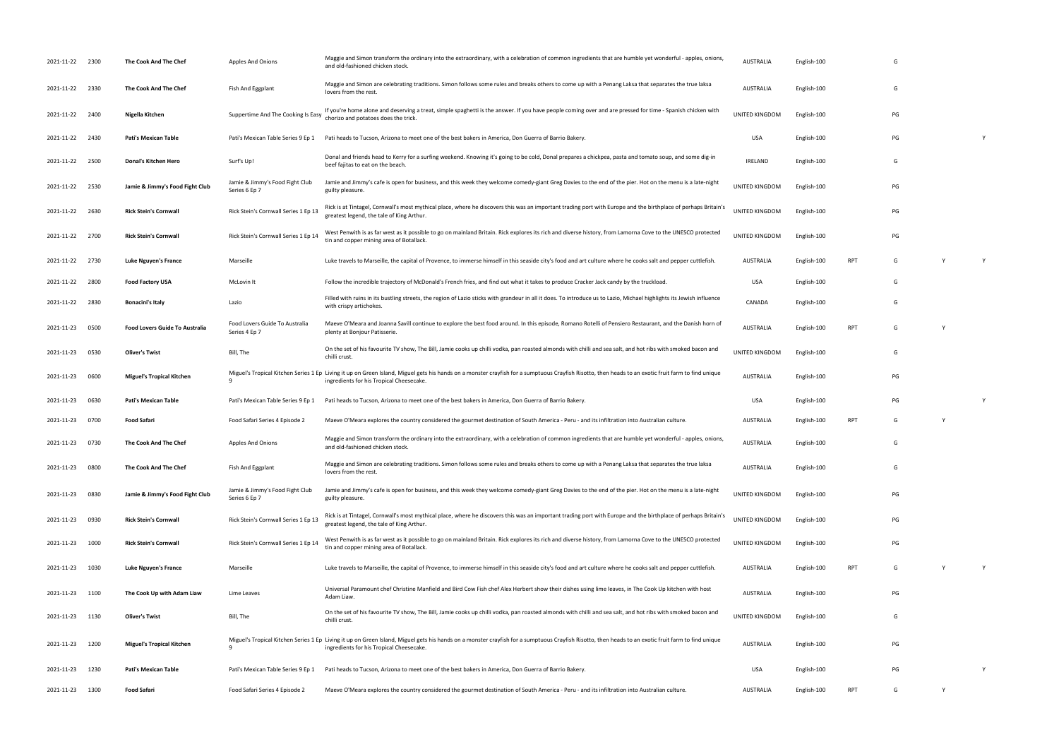| 2021-11-22 2300 |      | The Cook And The Chef                 | <b>Apples And Onions</b>                         | Maggie and Simon transform the ordinary into the extraordinary, with a celebration of common ingredients that are humble yet wonderful - apples, onions,<br>and old-fashioned chicken stock.                                                    | <b>AUSTRALIA</b> | English-100 |            | G  |          |  |
|-----------------|------|---------------------------------------|--------------------------------------------------|-------------------------------------------------------------------------------------------------------------------------------------------------------------------------------------------------------------------------------------------------|------------------|-------------|------------|----|----------|--|
| 2021-11-22      | 2330 | The Cook And The Chef                 | Fish And Eggplant                                | Maggie and Simon are celebrating traditions. Simon follows some rules and breaks others to come up with a Penang Laksa that separates the true laksa<br>lovers from the rest.                                                                   | <b>AUSTRALIA</b> | English-100 |            | G  |          |  |
| 2021-11-22      | 2400 | Nigella Kitchen                       | Suppertime And The Cooking Is Easy               | If you're home alone and deserving a treat, simple spaghetti is the answer. If you have people coming over and are pressed for time - Spanish chicken with<br>chorizo and potatoes does the trick.                                              | UNITED KINGDOM   | English-100 |            | PG |          |  |
| 2021-11-22      | 2430 | Pati's Mexican Table                  | Pati's Mexican Table Series 9 Ep 1               | Pati heads to Tucson, Arizona to meet one of the best bakers in America, Don Guerra of Barrio Bakery                                                                                                                                            | <b>USA</b>       | English-100 |            | PG |          |  |
| 2021-11-22      | 2500 | Donal's Kitchen Hero                  | Surf's Up!                                       | Donal and friends head to Kerry for a surfing weekend. Knowing it's going to be cold, Donal prepares a chickpea, pasta and tomato soup, and some dig-in<br>beef fajitas to eat on the beach.                                                    | IRELAND          | English-100 |            | G  |          |  |
| 2021-11-22 2530 |      | Jamie & Jimmy's Food Fight Club       | Jamie & Jimmy's Food Fight Club<br>Series 6 Ep 7 | Jamie and Jimmy's cafe is open for business, and this week they welcome comedy-giant Greg Davies to the end of the pier. Hot on the menu is a late-night<br>guilty pleasure.                                                                    | UNITED KINGDOM   | English-100 |            | PG |          |  |
| 2021-11-22      | 2630 | <b>Rick Stein's Cornwall</b>          | Rick Stein's Cornwall Series 1 Ep 13             | Rick is at Tintagel, Cornwall's most mythical place, where he discovers this was an important trading port with Europe and the birthplace of perhaps Britain's<br>greatest legend, the tale of King Arthur.                                     | UNITED KINGDOM   | English-100 |            | PG |          |  |
| 2021-11-22      | 2700 | <b>Rick Stein's Cornwall</b>          | Rick Stein's Cornwall Series 1 Ep 14             | West Penwith is as far west as it possible to go on mainland Britain. Rick explores its rich and diverse history, from Lamorna Cove to the UNESCO protected<br>tin and copper mining area of Botallack.                                         | UNITED KINGDOM   | English-100 |            | PG |          |  |
| 2021-11-22      | 2730 | Luke Nguyen's France                  | Marseille                                        | Luke travels to Marseille, the capital of Provence, to immerse himself in this seaside city's food and art culture where he cooks salt and pepper cuttlefish.                                                                                   | <b>AUSTRALIA</b> | English-100 | <b>RPT</b> | G  | Y        |  |
| 2021-11-22      | 2800 | <b>Food Factory USA</b>               | McLovin It                                       | Follow the incredible trajectory of McDonald's French fries, and find out what it takes to produce Cracker Jack candy by the truckload.                                                                                                         | <b>USA</b>       | English-100 |            | G  |          |  |
| 2021-11-22      | 2830 | <b>Bonacini's Italy</b>               | Lazio                                            | Filled with ruins in its bustling streets, the region of Lazio sticks with grandeur in all it does. To introduce us to Lazio, Michael highlights its Jewish influence<br>with crispy artichokes.                                                | CANADA           | English-100 |            | G  |          |  |
| 2021-11-23      | 0500 | <b>Food Lovers Guide To Australia</b> | Food Lovers Guide To Australia<br>Series 4 Ep 7  | Maeve O'Meara and Joanna Savill continue to explore the best food around. In this episode, Romano Rotelli of Pensiero Restaurant, and the Danish horn of<br>plenty at Bonjour Patisserie.                                                       | <b>AUSTRALIA</b> | English-100 | RPT        | G  |          |  |
| 2021-11-23      | 0530 | <b>Oliver's Twist</b>                 | Bill, The                                        | On the set of his favourite TV show, The Bill, Jamie cooks up chilli vodka, pan roasted almonds with chilli and sea salt, and hot ribs with smoked bacon and<br>chilli crust.                                                                   | UNITED KINGDOM   | English-100 |            | G  |          |  |
| 2021-11-23      | 0600 | <b>Miguel's Tropical Kitchen</b>      | 9                                                | Miguel's Tropical Kitchen Series 1 Ep Living it up on Green Island, Miguel gets his hands on a monster crayfish for a sumptuous Crayfish Risotto, then heads to an exotic fruit farm to find unique<br>ingredients for his Tropical Cheesecake. | <b>AUSTRALIA</b> | English-100 |            | PG |          |  |
| 2021-11-23      | 0630 | Pati's Mexican Table                  | Pati's Mexican Table Series 9 Ep 1               | Pati heads to Tucson, Arizona to meet one of the best bakers in America, Don Guerra of Barrio Bakery.                                                                                                                                           | <b>USA</b>       | English-100 |            | PG |          |  |
| 2021-11-23      | 0700 | <b>Food Safari</b>                    | Food Safari Series 4 Episode 2                   | Maeve O'Meara explores the country considered the gourmet destination of South America - Peru - and its infiltration into Australian culture.                                                                                                   | AUSTRALIA        | English-100 | <b>RPT</b> | G  | <b>Y</b> |  |
| 2021-11-23 0730 |      | The Cook And The Chef                 | <b>Apples And Onions</b>                         | Maggie and Simon transform the ordinary into the extraordinary, with a celebration of common ingredients that are humble yet wonderful - apples, onions,<br>and old-fashioned chicken stock.                                                    | <b>AUSTRALIA</b> | English-100 |            | G  |          |  |
| 2021-11-23      | 0800 | The Cook And The Chef                 | <b>Fish And Eggplant</b>                         | Maggie and Simon are celebrating traditions. Simon follows some rules and breaks others to come up with a Penang Laksa that separates the true laksa<br>lovers from the rest.                                                                   | <b>AUSTRALIA</b> | English-100 |            | G  |          |  |
| 2021-11-23      | 0830 | Jamie & Jimmy's Food Fight Club       | Jamie & Jimmy's Food Fight Club<br>Series 6 Ep 7 | Jamie and Jimmy's cafe is open for business, and this week they welcome comedy-giant Greg Davies to the end of the pier. Hot on the menu is a late-night<br>guilty pleasure.                                                                    | UNITED KINGDOM   | English-100 |            | PG |          |  |
| 2021-11-23      | 0930 | <b>Rick Stein's Cornwall</b>          | Rick Stein's Cornwall Series 1 Ep 13             | Rick is at Tintagel, Cornwall's most mythical place, where he discovers this was an important trading port with Europe and the birthplace of perhaps Britain's<br>greatest legend, the tale of King Arthur.                                     | UNITED KINGDOM   | English-100 |            | PG |          |  |
| 2021-11-23      | 1000 | <b>Rick Stein's Cornwall</b>          | Rick Stein's Cornwall Series 1 Ep 14             | West Penwith is as far west as it possible to go on mainland Britain. Rick explores its rich and diverse history, from Lamorna Cove to the UNESCO protected<br>tin and copper mining area of Botallack.                                         | UNITED KINGDOM   | English-100 |            | PG |          |  |
| 2021-11-23      | 1030 | Luke Nguyen's France                  | Marseille                                        | Luke travels to Marseille, the capital of Provence, to immerse himself in this seaside city's food and art culture where he cooks salt and pepper cuttlefish.                                                                                   | AUSTRALIA        | English-100 | <b>RPT</b> | G  |          |  |
| 2021-11-23      | 1100 | The Cook Up with Adam Liaw            | Lime Leaves                                      | Universal Paramount chef Christine Manfield and Bird Cow Fish chef Alex Herbert show their dishes using lime leaves, in The Cook Up kitchen with host<br>Adam Liaw.                                                                             | <b>AUSTRALIA</b> | English-100 |            | PG |          |  |
| 2021-11-23 1130 |      | <b>Oliver's Twist</b>                 | Bill, The                                        | On the set of his favourite TV show, The Bill, Jamie cooks up chilli vodka, pan roasted almonds with chilli and sea salt, and hot ribs with smoked bacon and<br>chilli crust.                                                                   | UNITED KINGDOM   | English-100 |            | G  |          |  |
| 2021-11-23      | 1200 | <b>Miguel's Tropical Kitchen</b>      | 9                                                | Miguel's Tropical Kitchen Series 1 Ep Living it up on Green Island, Miguel gets his hands on a monster crayfish for a sumptuous Crayfish Risotto, then heads to an exotic fruit farm to find unique<br>ingredients for his Tropical Cheesecake. | <b>AUSTRALIA</b> | English-100 |            | PG |          |  |
| 2021-11-23      | 1230 | Pati's Mexican Table                  | Pati's Mexican Table Series 9 Ep 1               | Pati heads to Tucson, Arizona to meet one of the best bakers in America, Don Guerra of Barrio Bakery.                                                                                                                                           | <b>USA</b>       | English-100 |            | PG |          |  |
| 2021-11-23      | 1300 | Food Safari                           | Food Safari Series 4 Episode 2                   | Maeve O'Meara explores the country considered the gourmet destination of South America - Peru - and its infiltration into Australian culture.                                                                                                   | AUSTRALIA        | English-100 | RPT        | G  | Y        |  |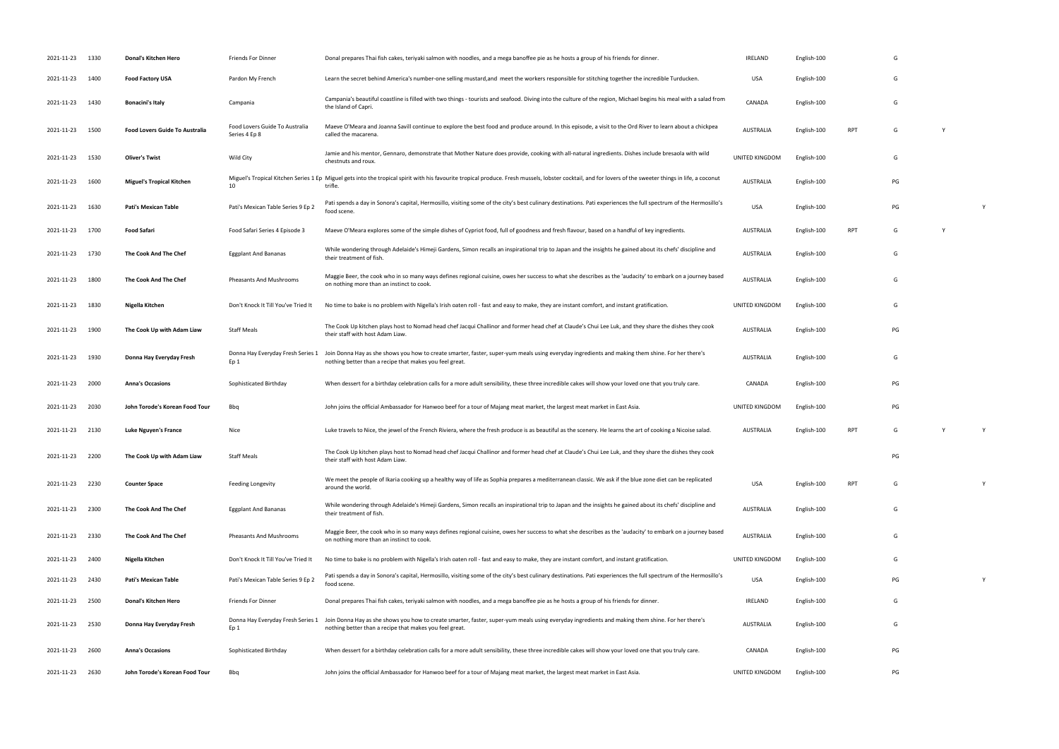| 2021-11-23      | 1330 | Donal's Kitchen Hero                  | Friends For Dinner                              | Donal prepares Thai fish cakes, teriyaki salmon with noodles, and a mega banoffee pie as he hosts a group of his friends for dinner.                                                                                | IRELAND          | English-100 |            | G  |          |  |
|-----------------|------|---------------------------------------|-------------------------------------------------|---------------------------------------------------------------------------------------------------------------------------------------------------------------------------------------------------------------------|------------------|-------------|------------|----|----------|--|
| 2021-11-23      | 1400 | <b>Food Factory USA</b>               | Pardon My French                                | Learn the secret behind America's number-one selling mustard, and meet the workers responsible for stitching together the incredible Turducken.                                                                     | USA              | English-100 |            | G  |          |  |
| 2021-11-23      | 1430 | Bonacini's Italy                      | Campania                                        | Campania's beautiful coastline is filled with two things - tourists and seafood. Diving into the culture of the region, Michael begins his meal with a salad from<br>the Island of Capri.                           | CANADA           | English-100 |            | G  |          |  |
| 2021-11-23      | 1500 | <b>Food Lovers Guide To Australia</b> | Food Lovers Guide To Australia<br>Series 4 Ep 8 | Maeve O'Meara and Joanna Savill continue to explore the best food and produce around. In this episode, a visit to the Ord River to learn about a chickpea<br>called the macarena.                                   | <b>AUSTRALIA</b> | English-100 | <b>RPT</b> | G  | Y        |  |
| 2021-11-23      | 1530 | <b>Oliver's Twist</b>                 | Wild City                                       | Jamie and his mentor, Gennaro, demonstrate that Mother Nature does provide, cooking with all-natural ingredients. Dishes include bresaola with wild<br>chestnuts and roux.                                          | UNITED KINGDOM   | English-100 |            | G  |          |  |
| 2021-11-23      | 1600 | <b>Miguel's Tropical Kitchen</b>      | 10                                              | Miguel's Tropical Kitchen Series 1 Ep Miguel gets into the tropical spirit with his favourite tropical produce. Fresh mussels, lobster cocktail, and for lovers of the sweeter things in life, a coconut<br>trifle. | AUSTRALIA        | English-100 |            | PG |          |  |
| 2021-11-23      | 1630 | Pati's Mexican Table                  | Pati's Mexican Table Series 9 Ep 2              | Pati spends a day in Sonora's capital, Hermosillo, visiting some of the city's best culinary destinations. Pati experiences the full spectrum of the Hermosillo's<br>food scene.                                    | USA              | English-100 |            | PG |          |  |
| 2021-11-23      | 1700 | Food Safari                           | Food Safari Series 4 Episode 3                  | Maeve O'Meara explores some of the simple dishes of Cypriot food, full of goodness and fresh flavour, based on a handful of key ingredients.                                                                        | <b>AUSTRALIA</b> | English-100 | <b>RPT</b> | G  |          |  |
| 2021-11-23      | 1730 | The Cook And The Chef                 | <b>Eggplant And Bananas</b>                     | While wondering through Adelaide's Himeji Gardens, Simon recalls an inspirational trip to Japan and the insights he gained about its chefs' discipline and<br>their treatment of fish.                              | AUSTRALIA        | English-100 |            | G  |          |  |
| 2021-11-23      | 1800 | The Cook And The Chef                 | Pheasants And Mushrooms                         | Maggie Beer, the cook who in so many ways defines regional cuisine, owes her success to what she describes as the 'audacity' to embark on a journey based<br>on nothing more than an instinct to cook.              | <b>AUSTRALIA</b> | English-100 |            | G  |          |  |
| 2021-11-23      | 1830 | Nigella Kitchen                       | Don't Knock It Till You've Tried It             | No time to bake is no problem with Nigella's Irish oaten roll - fast and easy to make, they are instant comfort, and instant gratification.                                                                         | UNITED KINGDOM   | English-100 |            | G  |          |  |
| 2021-11-23      | 1900 | The Cook Up with Adam Liaw            | <b>Staff Meals</b>                              | The Cook Up kitchen plays host to Nomad head chef Jacqui Challinor and former head chef at Claude's Chui Lee Luk, and they share the dishes they cook<br>their staff with host Adam Liaw.                           | <b>AUSTRALIA</b> | English-100 |            | PG |          |  |
| 2021-11-23      | 1930 | Donna Hay Everyday Fresh              | Donna Hay Everyday Fresh Series 1<br>Ep 1       | Join Donna Hay as she shows you how to create smarter, faster, super-yum meals using everyday ingredients and making them shine. For her there's<br>nothing better than a recipe that makes you feel great.         | <b>AUSTRALIA</b> | English-100 |            | G  |          |  |
| 2021-11-23      | 2000 | <b>Anna's Occasions</b>               | Sophisticated Birthday                          | When dessert for a birthday celebration calls for a more adult sensibility, these three incredible cakes will show your loved one that you truly care.                                                              | CANADA           | English-100 |            | PG |          |  |
| 2021-11-23      | 2030 | John Torode's Korean Food Tour        | Bbq                                             | John joins the official Ambassador for Hanwoo beef for a tour of Majang meat market, the largest meat market in East Asia.                                                                                          | UNITED KINGDOM   | English-100 |            | PG |          |  |
| 2021-11-23 2130 |      | Luke Nguyen's France                  | Nice                                            | Luke travels to Nice, the jewel of the French Riviera, where the fresh produce is as beautiful as the scenery. He learns the art of cooking a Nicoise salad.                                                        | AUSTRALIA        | English-100 | <b>RPT</b> | G  | <b>V</b> |  |
| 2021-11-23 2200 |      | The Cook Up with Adam Liaw            | <b>Staff Meals</b>                              | The Cook Up kitchen plays host to Nomad head chef Jacqui Challinor and former head chef at Claude's Chui Lee Luk, and they share the dishes they cook<br>their staff with host Adam Liaw.                           |                  |             |            | PG |          |  |
| 2021-11-23 2230 |      | <b>Counter Space</b>                  | Feeding Longevity                               | We meet the people of Ikaria cooking up a healthy way of life as Sophia prepares a mediterranean classic. We ask if the blue zone diet can be replicated<br>around the world.                                       | USA              | English-100 | <b>RPT</b> | G  |          |  |
| 2021-11-23      | 2300 | The Cook And The Chef                 | <b>Eggplant And Bananas</b>                     | While wondering through Adelaide's Himeji Gardens, Simon recalls an inspirational trip to Japan and the insights he gained about its chefs' discipline and<br>their treatment of fish.                              | <b>AUSTRALIA</b> | English-100 |            | G  |          |  |
| 2021-11-23      | 2330 | The Cook And The Chef                 | <b>Pheasants And Mushrooms</b>                  | Maggie Beer, the cook who in so many ways defines regional cuisine, owes her success to what she describes as the 'audacity' to embark on a journey based<br>on nothing more than an instinct to cook.              | <b>AUSTRALIA</b> | English-100 |            | G  |          |  |
| 2021-11-23      | 2400 | Nigella Kitchen                       | Don't Knock It Till You've Tried It             | No time to bake is no problem with Nigella's Irish oaten roll - fast and easy to make, they are instant comfort, and instant gratification.                                                                         | UNITED KINGDOM   | English-100 |            | G  |          |  |
| 2021-11-23 2430 |      | Pati's Mexican Table                  | Pati's Mexican Table Series 9 Ep 2              | Pati spends a day in Sonora's capital, Hermosillo, visiting some of the city's best culinary destinations. Pati experiences the full spectrum of the Hermosillo's<br>food scene.                                    | USA              | English-100 |            | PG |          |  |
| 2021-11-23      | 2500 | Donal's Kitchen Hero                  | Friends For Dinner                              | Donal prepares Thai fish cakes, teriyaki salmon with noodles, and a mega banoffee pie as he hosts a group of his friends for dinner.                                                                                | <b>IRELAND</b>   | English-100 |            | G  |          |  |
| 2021-11-23      | 2530 | Donna Hay Everyday Fresh              | Donna Hay Everyday Fresh Series 1<br>Ep 1       | Join Donna Hay as she shows you how to create smarter, faster, super-yum meals using everyday ingredients and making them shine. For her there's<br>nothing better than a recipe that makes you feel great.         | AUSTRALIA        | English-100 |            | G  |          |  |
| 2021-11-23      | 2600 | <b>Anna's Occasions</b>               | Sophisticated Birthday                          | When dessert for a birthday celebration calls for a more adult sensibility, these three incredible cakes will show your loved one that you truly care.                                                              | CANADA           | English-100 |            | PG |          |  |
| 2021-11-23      | 2630 | John Torode's Korean Food Tour        | Bbq                                             | John joins the official Ambassador for Hanwoo beef for a tour of Majang meat market, the largest meat market in East Asia.                                                                                          | UNITED KINGDOM   | English-100 |            | PG |          |  |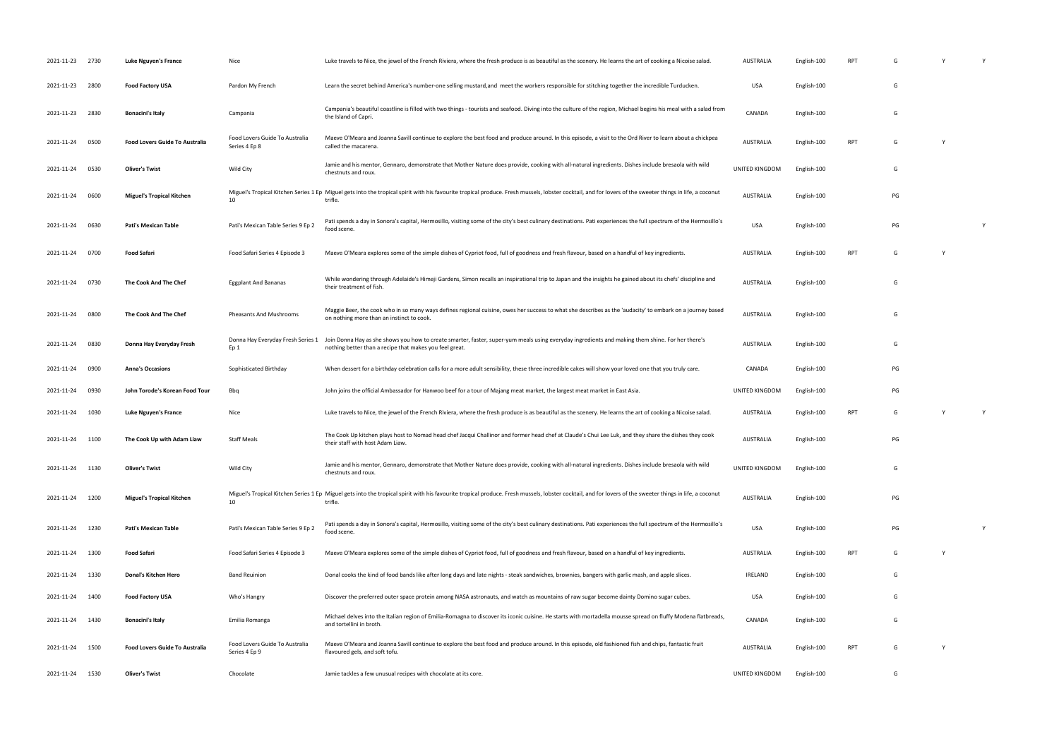| 2021-11-23 2730 |      | Luke Nguyen's France                  | Nice                                            | Luke travels to Nice, the jewel of the French Riviera, where the fresh produce is as beautiful as the scenery. He learns the art of cooking a Nicoise salad.                                                        | AUSTRALIA        | English-100 | RPT        | G  |   |
|-----------------|------|---------------------------------------|-------------------------------------------------|---------------------------------------------------------------------------------------------------------------------------------------------------------------------------------------------------------------------|------------------|-------------|------------|----|---|
| 2021-11-23 2800 |      | <b>Food Factory USA</b>               | Pardon My French                                | Learn the secret behind America's number-one selling mustard, and meet the workers responsible for stitching together the incredible Turducken.                                                                     | <b>USA</b>       | English-100 |            | G  |   |
| 2021-11-23      | 2830 | <b>Bonacini's Italy</b>               | Campania                                        | Campania's beautiful coastline is filled with two things - tourists and seafood. Diving into the culture of the region, Michael begins his meal with a salad from<br>the Island of Capri.                           | CANADA           | English-100 |            | G  |   |
| 2021-11-24      | 0500 | <b>Food Lovers Guide To Australia</b> | Food Lovers Guide To Australia<br>Series 4 Ep 8 | Maeve O'Meara and Joanna Savill continue to explore the best food and produce around. In this episode, a visit to the Ord River to learn about a chickpea<br>called the macarena.                                   | <b>AUSTRALIA</b> | English-100 | <b>RPT</b> | G  |   |
| 2021-11-24      | 0530 | <b>Oliver's Twist</b>                 | Wild City                                       | Jamie and his mentor, Gennaro, demonstrate that Mother Nature does provide, cooking with all-natural ingredients. Dishes include bresaola with wild<br>chestnuts and roux.                                          | UNITED KINGDOM   | English-100 |            | G  |   |
| 2021-11-24      | 0600 | <b>Miguel's Tropical Kitchen</b>      | 10                                              | Miguel's Tropical Kitchen Series 1 Ep Miguel gets into the tropical spirit with his favourite tropical produce. Fresh mussels, lobster cocktail, and for lovers of the sweeter things in life, a coconut<br>trifle. | AUSTRALIA        | English-100 |            | PG |   |
| 2021-11-24      | 0630 | <b>Pati's Mexican Table</b>           | Pati's Mexican Table Series 9 Ep 2              | Pati spends a day in Sonora's capital, Hermosillo, visiting some of the city's best culinary destinations. Pati experiences the full spectrum of the Hermosillo's<br>food scene.                                    | <b>USA</b>       | English-100 |            | PG | Y |
| 2021-11-24 0700 |      | <b>Food Safari</b>                    | Food Safari Series 4 Episode 3                  | Maeve O'Meara explores some of the simple dishes of Cypriot food, full of goodness and fresh flavour, based on a handful of key ingredients.                                                                        | AUSTRALIA        | English-100 | <b>RPT</b> | G  |   |
| 2021-11-24 0730 |      | The Cook And The Chef                 | <b>Eggplant And Bananas</b>                     | While wondering through Adelaide's Himeji Gardens, Simon recalls an inspirational trip to Japan and the insights he gained about its chefs' discipline and<br>their treatment of fish.                              | <b>AUSTRALIA</b> | English-100 |            | G  |   |
| 2021-11-24      | 0800 | The Cook And The Chef                 | Pheasants And Mushrooms                         | Maggie Beer, the cook who in so many ways defines regional cuisine, owes her success to what she describes as the 'audacity' to embark on a journey based<br>on nothing more than an instinct to cook.              | <b>AUSTRALIA</b> | English-100 |            | G  |   |
| 2021-11-24      | 0830 | Donna Hay Everyday Fresh              | Donna Hay Everyday Fresh Series 1<br>Ep 1       | Join Donna Hay as she shows you how to create smarter, faster, super-yum meals using everyday ingredients and making them shine. For her there's<br>nothing better than a recipe that makes you feel great.         | <b>AUSTRALIA</b> | English-100 |            | G  |   |
| 2021-11-24      | 0900 | <b>Anna's Occasions</b>               | Sophisticated Birthday                          | When dessert for a birthday celebration calls for a more adult sensibility, these three incredible cakes will show your loved one that you truly care.                                                              | CANADA           | English-100 |            | PG |   |
| 2021-11-24      | 0930 | John Torode's Korean Food Tour        | Bbq                                             | John joins the official Ambassador for Hanwoo beef for a tour of Majang meat market, the largest meat market in East Asia.                                                                                          | UNITED KINGDOM   | English-100 |            | PG |   |
| 2021-11-24      | 1030 | Luke Nguyen's France                  | Nice                                            | Luke travels to Nice, the jewel of the French Riviera, where the fresh produce is as beautiful as the scenery. He learns the art of cooking a Nicoise salad.                                                        | AUSTRALIA        | English-100 | RPT        | G  |   |
| 2021-11-24 1100 |      | The Cook Up with Adam Liaw            | <b>Staff Meals</b>                              | The Cook Up kitchen plays host to Nomad head chef Jacqui Challinor and former head chef at Claude's Chui Lee Luk, and they share the dishes they cook<br>their staff with host Adam Liaw.                           | AUSTRALIA        | English-100 |            | PG |   |
| 2021-11-24      | 1130 | <b>Oliver's Twist</b>                 | Wild City                                       | Jamie and his mentor, Gennaro, demonstrate that Mother Nature does provide, cooking with all-natural ingredients. Dishes include bresaola with wild<br>chestnuts and roux.                                          | UNITED KINGDOM   | English-100 |            | G  |   |
| 2021-11-24      | 1200 | <b>Miguel's Tropical Kitchen</b>      | 10                                              | Miguel's Tropical Kitchen Series 1 Ep Miguel gets into the tropical spirit with his favourite tropical produce. Fresh mussels, lobster cocktail, and for lovers of the sweeter things in life, a coconut<br>trifle. | <b>AUSTRALIA</b> | English-100 |            | PG |   |
| 2021-11-24      | 1230 | <b>Pati's Mexican Table</b>           | Pati's Mexican Table Series 9 Ep 2              | Pati spends a day in Sonora's capital, Hermosillo, visiting some of the city's best culinary destinations. Pati experiences the full spectrum of the Hermosillo's<br>food scene.                                    | <b>USA</b>       | English-100 |            | PG |   |
| 2021-11-24      | 1300 | <b>Food Safari</b>                    | Food Safari Series 4 Episode 3                  | Maeve O'Meara explores some of the simple dishes of Cypriot food, full of goodness and fresh flavour, based on a handful of key ingredients.                                                                        | AUSTRALIA        | English-100 | <b>RPT</b> | G  |   |
| 2021-11-24      | 1330 | Donal's Kitchen Hero                  | <b>Band Reuinion</b>                            | Donal cooks the kind of food bands like after long days and late nights - steak sandwiches, brownies, bangers with garlic mash, and apple slices.                                                                   | <b>IRELAND</b>   | English-100 |            | G  |   |
| 2021-11-24      | 1400 | <b>Food Factory USA</b>               | Who's Hangry                                    | Discover the preferred outer space protein among NASA astronauts, and watch as mountains of raw sugar become dainty Domino sugar cubes.                                                                             | <b>USA</b>       | English-100 |            | G  |   |
| 2021-11-24      | 1430 | <b>Bonacini's Italy</b>               | Emilia Romanga                                  | Michael delves into the Italian region of Emilia-Romagna to discover its iconic cuisine. He starts with mortadella mousse spread on fluffy Modena flatbreads,<br>and tortellini in broth.                           | CANADA           | English-100 |            | G  |   |
| 2021-11-24      | 1500 | <b>Food Lovers Guide To Australia</b> | Food Lovers Guide To Australia<br>Series 4 Ep 9 | Maeve O'Meara and Joanna Savill continue to explore the best food and produce around. In this episode, old fashioned fish and chips, fantastic fruit<br>flavoured gels, and soft tofu.                              | AUSTRALIA        | English-100 | <b>RPT</b> | G  |   |
| 2021-11-24      | 1530 | <b>Oliver's Twist</b>                 | Chocolate                                       | Jamie tackles a few unusual recipes with chocolate at its core.                                                                                                                                                     | UNITED KINGDOM   | English-100 |            | G  |   |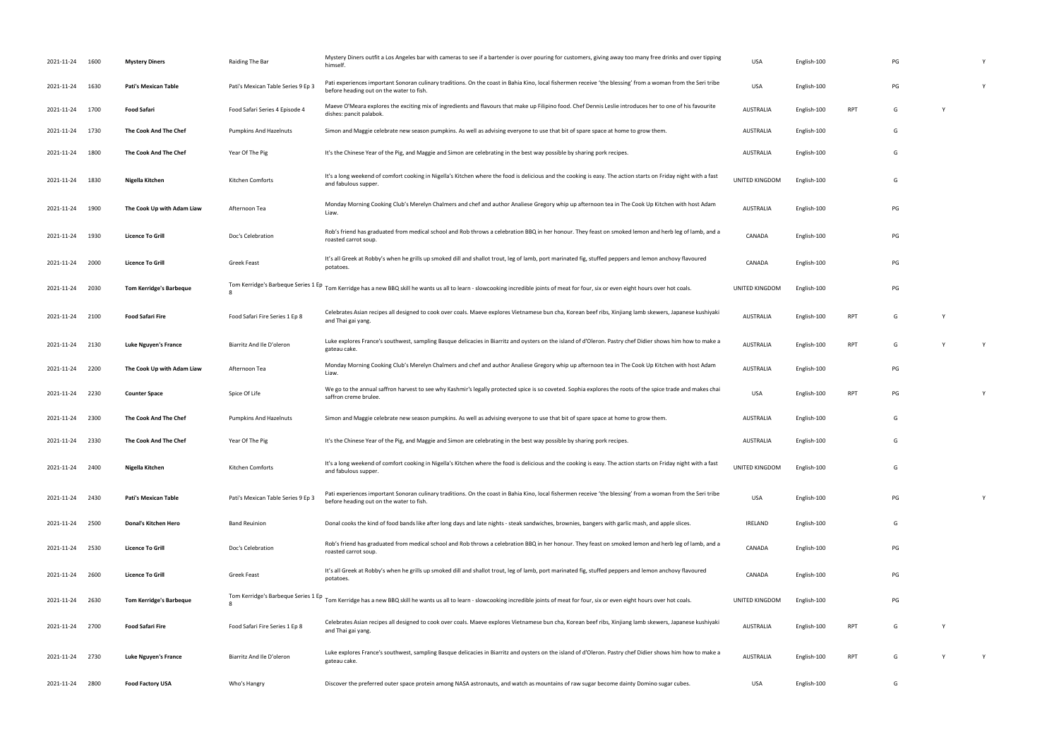| 2021-11-24      | 1600 | <b>Mystery Diners</b>          | Raiding The Bar                     | Mystery Diners outfit a Los Angeles bar with cameras to see if a bartender is over pouring for customers, giving away too many free drinks and over tipping<br>himself.                                 | <b>USA</b>       | English-100 |            | PG |   |   |
|-----------------|------|--------------------------------|-------------------------------------|---------------------------------------------------------------------------------------------------------------------------------------------------------------------------------------------------------|------------------|-------------|------------|----|---|---|
| 2021-11-24      | 1630 | <b>Pati's Mexican Table</b>    | Pati's Mexican Table Series 9 Ep 3  | Pati experiences important Sonoran culinary traditions. On the coast in Bahia Kino, local fishermen receive 'the blessing' from a woman from the Seri tribe<br>before heading out on the water to fish. | <b>USA</b>       | English-100 |            | PG |   | Y |
| 2021-11-24      | 1700 | <b>Food Safari</b>             | Food Safari Series 4 Episode 4      | Maeve O'Meara explores the exciting mix of ingredients and flavours that make up Filipino food. Chef Dennis Leslie introduces her to one of his favourite<br>dishes: pancit palabok.                    | AUSTRALIA        | English-100 | RPT        | G  | Y |   |
| 2021-11-24      | 1730 | The Cook And The Chef          | <b>Pumpkins And Hazelnuts</b>       | Simon and Maggie celebrate new season pumpkins. As well as advising everyone to use that bit of spare space at home to grow them.                                                                       | AUSTRALIA        | English-100 |            | G  |   |   |
| 2021-11-24      | 1800 | The Cook And The Chef          | Year Of The Pig                     | It's the Chinese Year of the Pig, and Maggie and Simon are celebrating in the best way possible by sharing pork recipes.                                                                                | AUSTRALIA        | English-100 |            | G  |   |   |
| 2021-11-24      | 1830 | Nigella Kitchen                | Kitchen Comforts                    | It's a long weekend of comfort cooking in Nigella's Kitchen where the food is delicious and the cooking is easy. The action starts on Friday night with a fast<br>and fabulous supper.                  | UNITED KINGDOM   | English-100 |            | G  |   |   |
| 2021-11-24      | 1900 | The Cook Up with Adam Liaw     | Afternoon Tea                       | Monday Morning Cooking Club's Merelyn Chalmers and chef and author Analiese Gregory whip up afternoon tea in The Cook Up Kitchen with host Adam<br>Liaw.                                                | AUSTRALIA        | English-100 |            | PG |   |   |
| 2021-11-24      | 1930 | <b>Licence To Grill</b>        | Doc's Celebration                   | Rob's friend has graduated from medical school and Rob throws a celebration BBQ in her honour. They feast on smoked lemon and herb leg of lamb, and a<br>roasted carrot soup.                           | CANADA           | English-100 |            | PG |   |   |
| 2021-11-24      | 2000 | <b>Licence To Grill</b>        | Greek Feast                         | It's all Greek at Robby's when he grills up smoked dill and shallot trout, leg of lamb, port marinated fig, stuffed peppers and lemon anchovy flavoured<br>potatoes.                                    | CANADA           | English-100 |            | PG |   |   |
| 2021-11-24      | 2030 | <b>Tom Kerridge's Barbeque</b> | Tom Kerridge's Barbeque Series 1 Ep | Tom Kerridge has a new BBQ skill he wants us all to learn - slowcooking incredible joints of meat for four, six or even eight hours over hot coals.                                                     | UNITED KINGDOM   | English-100 |            | PG |   |   |
| 2021-11-24 2100 |      | Food Safari Fire               | Food Safari Fire Series 1 Ep 8      | Celebrates Asian recipes all designed to cook over coals. Maeve explores Vietnamese bun cha, Korean beef ribs, Xinjiang lamb skewers, Japanese kushiyaki<br>and Thai gai yang.                          | AUSTRALIA        | English-100 | <b>RPT</b> | G  | Y |   |
| 2021-11-24      | 2130 | Luke Nguyen's France           | Biarritz And Ile D'oleron           | Luke explores France's southwest, sampling Basque delicacies in Biarritz and oysters on the island of d'Oleron. Pastry chef Didier shows him how to make a<br>gateau cake.                              | <b>AUSTRALIA</b> | English-100 | <b>RPT</b> | G  | Y |   |
| 2021-11-24      | 2200 | The Cook Up with Adam Liaw     | Afternoon Tea                       | Monday Morning Cooking Club's Merelyn Chalmers and chef and author Analiese Gregory whip up afternoon tea in The Cook Up Kitchen with host Adam<br>Liaw.                                                | <b>AUSTRALIA</b> | English-100 |            | PG |   |   |
| 2021-11-24      | 2230 | <b>Counter Space</b>           | Spice Of Life                       | We go to the annual saffron harvest to see why Kashmir's legally protected spice is so coveted. Sophia explores the roots of the spice trade and makes chai<br>saffron creme brulee.                    | <b>USA</b>       | English-100 | <b>RPT</b> | PG |   |   |
| 2021-11-24      | 2300 | The Cook And The Chef          | <b>Pumpkins And Hazelnuts</b>       | Simon and Maggie celebrate new season pumpkins. As well as advising everyone to use that bit of spare space at home to grow them.                                                                       | AUSTRALIA        | English-100 |            | G  |   |   |
| 2021-11-24      | 2330 | The Cook And The Chef          | Year Of The Pig                     | It's the Chinese Year of the Pig, and Maggie and Simon are celebrating in the best way possible by sharing pork recipes.                                                                                | AUSTRALIA        | English-100 |            | G  |   |   |
| 2021-11-24      | 2400 | Nigella Kitchen                | Kitchen Comforts                    | It's a long weekend of comfort cooking in Nigella's Kitchen where the food is delicious and the cooking is easy. The action starts on Friday night with a fast<br>and fabulous supper.                  | UNITED KINGDOM   | English-100 |            | G  |   |   |
| 2021-11-24      | 2430 | <b>Pati's Mexican Table</b>    | Pati's Mexican Table Series 9 Ep 3  | Pati experiences important Sonoran culinary traditions. On the coast in Bahia Kino, local fishermen receive 'the blessing' from a woman from the Seri tribe<br>before heading out on the water to fish. | <b>USA</b>       | English-100 |            | PG |   | Y |
| 2021-11-24      | 2500 | Donal's Kitchen Hero           | <b>Band Reuinion</b>                | Donal cooks the kind of food bands like after long days and late nights - steak sandwiches, brownies, bangers with garlic mash, and apple slices.                                                       | <b>IRELAND</b>   | English-100 |            | G  |   |   |
| 2021-11-24      | 2530 | <b>Licence To Grill</b>        | Doc's Celebration                   | Rob's friend has graduated from medical school and Rob throws a celebration BBQ in her honour. They feast on smoked lemon and herb leg of lamb, and a<br>roasted carrot soup.                           | CANADA           | English-100 |            | PG |   |   |
| 2021-11-24      | 2600 | <b>Licence To Grill</b>        | Greek Feast                         | It's all Greek at Robby's when he grills up smoked dill and shallot trout, leg of lamb, port marinated fig, stuffed peppers and lemon anchovy flavoured<br>potatoes.                                    | CANADA           | English-100 |            | PG |   |   |
| 2021-11-24      | 2630 | <b>Tom Kerridge's Barbeque</b> | Tom Kerridge's Barbeque Series 1 Ep | Tom Kerridge has a new BBQ skill he wants us all to learn - slowcooking incredible joints of meat for four, six or even eight hours over hot coals.                                                     | UNITED KINGDOM   | English-100 |            | PG |   |   |
| 2021-11-24 2700 |      | <b>Food Safari Fire</b>        | Food Safari Fire Series 1 Ep 8      | Celebrates Asian recipes all designed to cook over coals. Maeve explores Vietnamese bun cha, Korean beef ribs, Xinjiang lamb skewers, Japanese kushiyaki<br>and Thai gai yang.                          | <b>AUSTRALIA</b> | English-100 | <b>RPT</b> | G  | Y |   |
| 2021-11-24      | 2730 | <b>Luke Nguyen's France</b>    | Biarritz And Ile D'oleron           | Luke explores France's southwest, sampling Basque delicacies in Biarritz and oysters on the island of d'Oleron. Pastry chef Didier shows him how to make a<br>gateau cake.                              | <b>AUSTRALIA</b> | English-100 | <b>RPT</b> | G  |   |   |
| 2021-11-24      | 2800 | <b>Food Factory USA</b>        | Who's Hangry                        | Discover the preferred outer space protein among NASA astronauts, and watch as mountains of raw sugar become dainty Domino sugar cubes.                                                                 | USA              | English-100 |            | G  |   |   |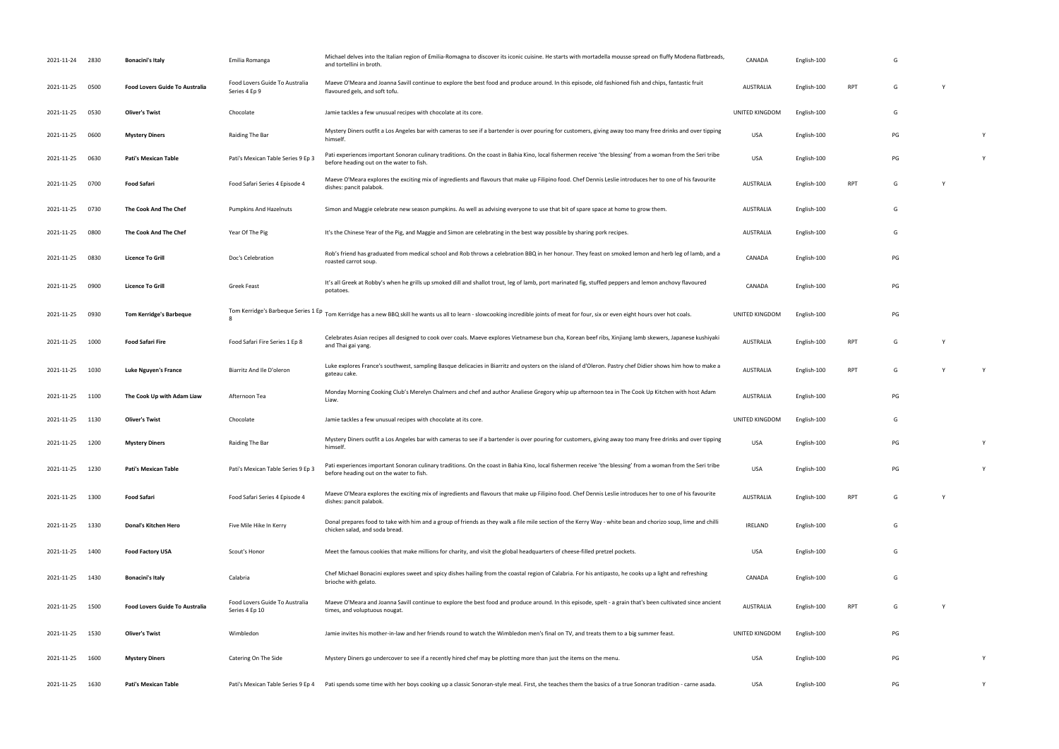| 2021-11-24 2830 |      | <b>Bonacini's Italy</b>               | Emilia Romanga                                   | Michael delves into the Italian region of Emilia-Romagna to discover its iconic cuisine. He starts with mortadella mousse spread on fluffy Modena flatbreads,<br>and tortellini in broth.                                         | CANADA           | English-100 |            | G  |          |   |
|-----------------|------|---------------------------------------|--------------------------------------------------|-----------------------------------------------------------------------------------------------------------------------------------------------------------------------------------------------------------------------------------|------------------|-------------|------------|----|----------|---|
| 2021-11-25      | 0500 | <b>Food Lovers Guide To Australia</b> | Food Lovers Guide To Australia<br>Series 4 Ep 9  | Maeve O'Meara and Joanna Savill continue to explore the best food and produce around. In this episode, old fashioned fish and chips, fantastic fruit<br>flavoured gels, and soft tofu.                                            | <b>AUSTRALIA</b> | English-100 | RPT        | G  | <b>V</b> |   |
| 2021-11-25      | 0530 | <b>Oliver's Twist</b>                 | Chocolate                                        | Jamie tackles a few unusual recipes with chocolate at its core.                                                                                                                                                                   | UNITED KINGDOM   | English-100 |            | G  |          |   |
| 2021-11-25      | 0600 | <b>Mystery Diners</b>                 | Raiding The Bar                                  | Mystery Diners outfit a Los Angeles bar with cameras to see if a bartender is over pouring for customers, giving away too many free drinks and over tipping<br>himself.                                                           | USA              | English-100 |            | PG |          | Y |
| 2021-11-25      | 0630 | Pati's Mexican Table                  | Pati's Mexican Table Series 9 Ep 3               | Pati experiences important Sonoran culinary traditions. On the coast in Bahia Kino, local fishermen receive 'the blessing' from a woman from the Seri tribe<br>before heading out on the water to fish.                           | <b>USA</b>       | English-100 |            | PG |          | Y |
| 2021-11-25      | 0700 | Food Safari                           | Food Safari Series 4 Episode 4                   | Maeve O'Meara explores the exciting mix of ingredients and flavours that make up Filipino food. Chef Dennis Leslie introduces her to one of his favourite<br>dishes: pancit palabok.                                              | AUSTRALIA        | English-100 | <b>RPT</b> | G  | <b>Y</b> |   |
| 2021-11-25      | 0730 | The Cook And The Chef                 | <b>Pumpkins And Hazelnuts</b>                    | Simon and Maggie celebrate new season pumpkins. As well as advising everyone to use that bit of spare space at home to grow them.                                                                                                 | AUSTRALIA        | English-100 |            | G  |          |   |
| 2021-11-25      | 0800 | The Cook And The Chef                 | Year Of The Pig                                  | It's the Chinese Year of the Pig, and Maggie and Simon are celebrating in the best way possible by sharing pork recipes.                                                                                                          | AUSTRALIA        | English-100 |            | G  |          |   |
| 2021-11-25      | 0830 | <b>Licence To Grill</b>               | Doc's Celebration                                | Rob's friend has graduated from medical school and Rob throws a celebration BBQ in her honour. They feast on smoked lemon and herb leg of lamb, and a<br>roasted carrot soup.                                                     | CANADA           | English-100 |            | PG |          |   |
| 2021-11-25      | 0900 | <b>Licence To Grill</b>               | Greek Feast                                      | It's all Greek at Robby's when he grills up smoked dill and shallot trout, leg of lamb, port marinated fig, stuffed peppers and lemon anchovy flavoured<br>potatoes.                                                              | CANADA           | English-100 |            | PG |          |   |
| 2021-11-25      | 0930 | <b>Tom Kerridge's Barbeque</b>        |                                                  | Tom Kerridge's Barbeque Series 1 Ep<br>Tom Kerridge's Barbeque Series 1 Ep<br>Tom Kerridge has a new BBQ skill he wants us all to learn - slowcooking incredible joints of meat for four, six or even eight hours over hot coals. | UNITED KINGDOM   | English-100 |            | PG |          |   |
| 2021-11-25      | 1000 | Food Safari Fire                      | Food Safari Fire Series 1 Ep 8                   | Celebrates Asian recipes all designed to cook over coals. Maeve explores Vietnamese bun cha, Korean beef ribs, Xinjiang lamb skewers, Japanese kushiyaki<br>and Thai gai yang.                                                    | AUSTRALIA        | English-100 | RPT        | G  | <b>V</b> |   |
| 2021-11-25      | 1030 | Luke Nguyen's France                  | Biarritz And Ile D'oleron                        | Luke explores France's southwest, sampling Basque delicacies in Biarritz and oysters on the island of d'Oleron. Pastry chef Didier shows him how to make a<br>gateau cake.                                                        | AUSTRALIA        | English-100 | <b>RPT</b> | G  |          | Y |
| 2021-11-25 1100 |      | The Cook Up with Adam Liaw            | Afternoon Tea                                    | Monday Morning Cooking Club's Merelyn Chalmers and chef and author Analiese Gregory whip up afternoon tea in The Cook Up Kitchen with host Adam<br>Liaw.                                                                          | AUSTRALIA        | English-100 |            | PG |          |   |
| 2021-11-25      | 1130 | <b>Oliver's Twist</b>                 | Chocolate                                        | Jamie tackles a few unusual recipes with chocolate at its core.                                                                                                                                                                   | UNITED KINGDOM   | English-100 |            | G  |          |   |
| 2021-11-25 1200 |      | <b>Mystery Diners</b>                 | Raiding The Bar                                  | Mystery Diners outfit a Los Angeles bar with cameras to see if a bartender is over pouring for customers, giving away too many free drinks and over tipping<br>himself.                                                           | USA              | English-100 |            | PG |          | Y |
| 2021-11-25      | 1230 | Pati's Mexican Table                  | Pati's Mexican Table Series 9 Ep 3               | Pati experiences important Sonoran culinary traditions. On the coast in Bahia Kino, local fishermen receive 'the blessing' from a woman from the Seri tribe<br>before heading out on the water to fish.                           | USA              | English-100 |            | PG |          |   |
| 2021-11-25      | 1300 | Food Safari                           | Food Safari Series 4 Episode 4                   | Maeve O'Meara explores the exciting mix of ingredients and flavours that make up Filipino food. Chef Dennis Leslie introduces her to one of his favourite<br>dishes: pancit palabok.                                              | AUSTRALIA        | English-100 | RPT        | G  | <b>V</b> |   |
| 2021-11-25 1330 |      | <b>Donal's Kitchen Hero</b>           | Five Mile Hike In Kerry                          | Donal prepares food to take with him and a group of friends as they walk a file mile section of the Kerry Way - white bean and chorizo soup, lime and chilli<br>chicken salad, and soda bread.                                    | IRELAND          | English-100 |            | G  |          |   |
| 2021-11-25      | 1400 | <b>Food Factory USA</b>               | Scout's Honor                                    | Meet the famous cookies that make millions for charity, and visit the global headquarters of cheese-filled pretzel pockets.                                                                                                       | USA              | English-100 |            | G  |          |   |
| 2021-11-25 1430 |      | <b>Bonacini's Italy</b>               | Calabria                                         | Chef Michael Bonacini explores sweet and spicy dishes hailing from the coastal region of Calabria. For his antipasto, he cooks up a light and refreshing<br>brioche with gelato.                                                  | CANADA           | English-100 |            | G  |          |   |
| 2021-11-25 1500 |      | <b>Food Lovers Guide To Australia</b> | Food Lovers Guide To Australia<br>Series 4 Ep 10 | Maeve O'Meara and Joanna Savill continue to explore the best food and produce around. In this episode, spelt - a grain that's been cultivated since ancient<br>times, and voluptuous nougat.                                      | AUSTRALIA        | English-100 | <b>RPT</b> | G  | Y        |   |
| 2021-11-25      | 1530 | <b>Oliver's Twist</b>                 | Wimbledon                                        | Jamie invites his mother-in-law and her friends round to watch the Wimbledon men's final on TV, and treats them to a big summer feast.                                                                                            | UNITED KINGDOM   | English-100 |            | PG |          |   |
| 2021-11-25      | 1600 | <b>Mystery Diners</b>                 | Catering On The Side                             | Mystery Diners go undercover to see if a recently hired chef may be plotting more than just the items on the menu.                                                                                                                | USA              | English-100 |            | PG |          | Y |
| 2021-11-25 1630 |      | <b>Pati's Mexican Table</b>           |                                                  | Pati's Mexican Table Series 9 Ep 4 Pati spends some time with her boys cooking up a classic Sonoran-style meal. First, she teaches them the basics of a true Sonoran tradition - carne asada.                                     | USA              | English-100 |            | PG |          | Y |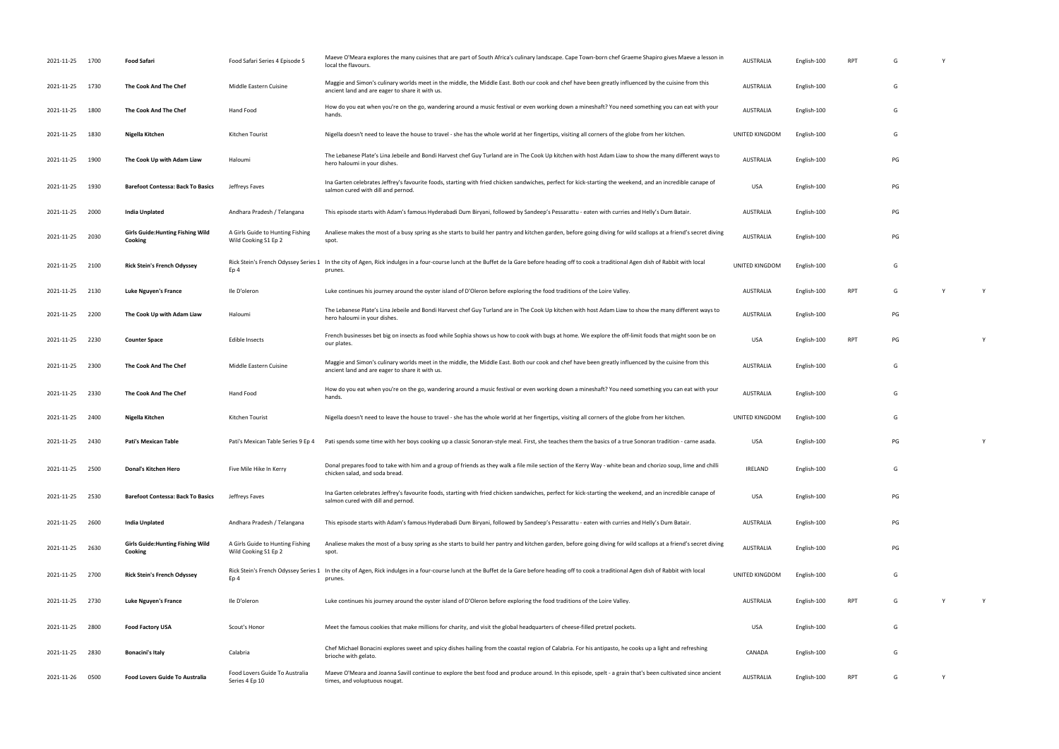| 2021-11-25 1700 |      | Food Safari                                         | Food Safari Series 4 Episode 5                           | Maeve O'Meara explores the many cuisines that are part of South Africa's culinary landscape. Cape Town-born chef Graeme Shapiro gives Maeve a lesson in<br>local the flavours.                             | AUSTRALIA        | English-100 | RPT        |    |   |   |
|-----------------|------|-----------------------------------------------------|----------------------------------------------------------|------------------------------------------------------------------------------------------------------------------------------------------------------------------------------------------------------------|------------------|-------------|------------|----|---|---|
| 2021-11-25      | 1730 | The Cook And The Chef                               | Middle Eastern Cuisine                                   | Maggie and Simon's culinary worlds meet in the middle, the Middle East. Both our cook and chef have been greatly influenced by the cuisine from this<br>ancient land and are eager to share it with us.    | <b>AUSTRALIA</b> | English-100 |            | G  |   |   |
| 2021-11-25      | 1800 | The Cook And The Chef                               | Hand Food                                                | How do you eat when you're on the go, wandering around a music festival or even working down a mineshaft? You need something you can eat with your<br>hands.                                               | <b>AUSTRALIA</b> | English-100 |            | G  |   |   |
| 2021-11-25      | 1830 | Nigella Kitchen                                     | Kitchen Tourist                                          | Nigella doesn't need to leave the house to travel - she has the whole world at her fingertips, visiting all corners of the globe from her kitchen.                                                         | UNITED KINGDOM   | English-100 |            | G  |   |   |
| 2021-11-25      | 1900 | The Cook Up with Adam Liaw                          | Haloumi                                                  | The Lebanese Plate's Lina Jebeile and Bondi Harvest chef Guy Turland are in The Cook Up kitchen with host Adam Liaw to show the many different ways to<br>hero haloumi in your dishes.                     | <b>AUSTRALIA</b> | English-100 |            | PG |   |   |
| 2021-11-25      | 1930 | <b>Barefoot Contessa: Back To Basics</b>            | Jeffreys Faves                                           | Ina Garten celebrates Jeffrey's favourite foods, starting with fried chicken sandwiches, perfect for kick-starting the weekend, and an incredible canape of<br>salmon cured with dill and pernod.          | USA              | English-100 |            | PG |   |   |
| 2021-11-25      | 2000 | India Unplated                                      | Andhara Pradesh / Telangana                              | This episode starts with Adam's famous Hyderabadi Dum Biryani, followed by Sandeep's Pessarattu - eaten with curries and Helly's Dum Batair.                                                               | <b>AUSTRALIA</b> | English-100 |            | PG |   |   |
| 2021-11-25      | 2030 | <b>Girls Guide: Hunting Fishing Wild</b><br>Cooking | A Girls Guide to Hunting Fishing<br>Wild Cooking S1 Ep 2 | Analiese makes the most of a busy spring as she starts to build her pantry and kitchen garden, before going diving for wild scallops at a friend's secret diving<br>spot.                                  | <b>AUSTRALIA</b> | English-100 |            | PG |   |   |
| 2021-11-25 2100 |      | <b>Rick Stein's French Odyssey</b>                  | Ep 4                                                     | Rick Stein's French Odyssey Series 1 In the city of Agen, Rick indulges in a four-course lunch at the Buffet de la Gare before heading off to cook a traditional Agen dish of Rabbit with local<br>prunes. | UNITED KINGDOM   | English-100 |            | G  |   |   |
| 2021-11-25      | 2130 | Luke Nguyen's France                                | Ile D'oleron                                             | Luke continues his journey around the oyster island of D'Oleron before exploring the food traditions of the Loire Valley.                                                                                  | <b>AUSTRALIA</b> | English-100 | <b>RPT</b> | G  |   |   |
| 2021-11-25      | 2200 | The Cook Up with Adam Liaw                          | Haloumi                                                  | The Lebanese Plate's Lina Jebeile and Bondi Harvest chef Guy Turland are in The Cook Up kitchen with host Adam Liaw to show the many different ways to<br>hero haloumi in your dishes.                     | <b>AUSTRALIA</b> | English-100 |            | PG |   |   |
| 2021-11-25      | 2230 | <b>Counter Space</b>                                | <b>Edible Insects</b>                                    | French businesses bet big on insects as food while Sophia shows us how to cook with bugs at home. We explore the off-limit foods that might soon be on<br>our plates.                                      | USA              | English-100 | <b>RPT</b> | PG |   |   |
| 2021-11-25      | 2300 | The Cook And The Chef                               | Middle Eastern Cuisine                                   | Maggie and Simon's culinary worlds meet in the middle, the Middle East. Both our cook and chef have been greatly influenced by the cuisine from this<br>ancient land and are eager to share it with us.    | <b>AUSTRALIA</b> | English-100 |            | G  |   |   |
| 2021-11-25      | 2330 | The Cook And The Chef                               | Hand Food                                                | How do you eat when you're on the go, wandering around a music festival or even working down a mineshaft? You need something you can eat with your<br>hands.                                               | <b>AUSTRALIA</b> | English-100 |            | G  |   |   |
| 2021-11-25      | 2400 | Nigella Kitchen                                     | Kitchen Tourist                                          | Nigella doesn't need to leave the house to travel - she has the whole world at her fingertips, visiting all corners of the globe from her kitchen.                                                         | UNITED KINGDOM   | English-100 |            | G  |   |   |
| 2021-11-25 2430 |      | Pati's Mexican Table                                |                                                          | Pati's Mexican Table Series 9 Ep 4 Pati spends some time with her boys cooking up a classic Sonoran-style meal. First, she teaches them the basics of a true Sonoran tradition - carne asada.              | USA              | English-100 |            | PG |   | Y |
| 2021-11-25 2500 |      | Donal's Kitchen Hero                                | Five Mile Hike In Kerry                                  | Donal prepares food to take with him and a group of friends as they walk a file mile section of the Kerry Way - white bean and chorizo soup, lime and chilli<br>chicken salad, and soda bread.             | IRELAND          | English-100 |            | G  |   |   |
| 2021-11-25 2530 |      | <b>Barefoot Contessa: Back To Basics</b>            | Jeffreys Faves                                           | Ina Garten celebrates Jeffrey's favourite foods, starting with fried chicken sandwiches, perfect for kick-starting the weekend, and an incredible canape of<br>salmon cured with dill and pernod.          | USA              | English-100 |            | PG |   |   |
| 2021-11-25      | 2600 | <b>India Unplated</b>                               | Andhara Pradesh / Telangana                              | This episode starts with Adam's famous Hyderabadi Dum Biryani, followed by Sandeep's Pessarattu - eaten with curries and Helly's Dum Batair.                                                               | <b>AUSTRALIA</b> | English-100 |            | PG |   |   |
| 2021-11-25 2630 |      | <b>Girls Guide: Hunting Fishing Wild</b><br>Cooking | A Girls Guide to Hunting Fishing<br>Wild Cooking S1 Ep 2 | Analiese makes the most of a busy spring as she starts to build her pantry and kitchen garden, before going diving for wild scallops at a friend's secret diving<br>spot.                                  | <b>AUSTRALIA</b> | English-100 |            | PG |   |   |
| 2021-11-25      | 2700 | <b>Rick Stein's French Odyssey</b>                  | Ep 4                                                     | Rick Stein's French Odyssey Series 1 In the city of Agen, Rick indulges in a four-course lunch at the Buffet de la Gare before heading off to cook a traditional Agen dish of Rabbit with local<br>prunes. | UNITED KINGDOM   | English-100 |            | G  |   |   |
| 2021-11-25 2730 |      | Luke Nguyen's France                                | Ile D'oleron                                             | Luke continues his journey around the oyster island of D'Oleron before exploring the food traditions of the Loire Valley.                                                                                  | <b>AUSTRALIA</b> | English-100 | <b>RPT</b> | G  |   |   |
| 2021-11-25 2800 |      | <b>Food Factory USA</b>                             | Scout's Honor                                            | Meet the famous cookies that make millions for charity, and visit the global headquarters of cheese-filled pretzel pockets.                                                                                | USA              | English-100 |            | G  |   |   |
| 2021-11-25      | 2830 | <b>Bonacini's Italy</b>                             | Calabria                                                 | Chef Michael Bonacini explores sweet and spicy dishes hailing from the coastal region of Calabria. For his antipasto, he cooks up a light and refreshing<br>brioche with gelato.                           | CANADA           | English-100 |            | G  |   |   |
| 2021-11-26      | 0500 | Food Lovers Guide To Australia                      | Food Lovers Guide To Australia<br>Series 4 Ep 10         | Maeve O'Meara and Joanna Savill continue to explore the best food and produce around. In this episode, spelt - a grain that's been cultivated since ancient<br>times, and voluptuous nougat.               | <b>AUSTRALIA</b> | English-100 | <b>RPT</b> | G  | Y |   |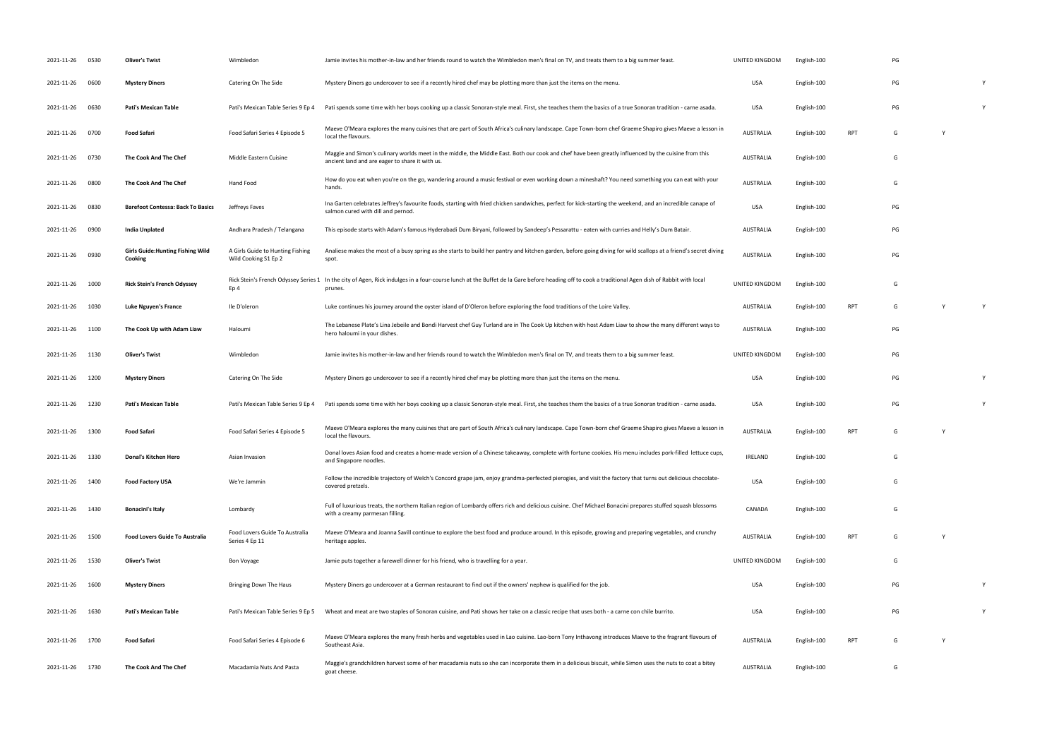| 2021-11-26      | 0530 | <b>Oliver's Twist</b>                               | Wimbledon                                                | Jamie invites his mother-in-law and her friends round to watch the Wimbledon men's final on TV, and treats them to a big summer feast.                                                                     | UNITED KINGDOM   | English-100 |            | PG |              |   |
|-----------------|------|-----------------------------------------------------|----------------------------------------------------------|------------------------------------------------------------------------------------------------------------------------------------------------------------------------------------------------------------|------------------|-------------|------------|----|--------------|---|
| 2021-11-26      | 0600 | <b>Mystery Diners</b>                               | Catering On The Side                                     | Mystery Diners go undercover to see if a recently hired chef may be plotting more than just the items on the menu.                                                                                         | <b>USA</b>       | English-100 |            | PG |              | Y |
| 2021-11-26      | 0630 | <b>Pati's Mexican Table</b>                         | Pati's Mexican Table Series 9 Ep 4                       | Pati spends some time with her boys cooking up a classic Sonoran-style meal. First, she teaches them the basics of a true Sonoran tradition - carne asada.                                                 | <b>USA</b>       | English-100 |            | PG |              | Y |
| 2021-11-26      | 0700 | Food Safari                                         | Food Safari Series 4 Episode 5                           | Maeve O'Meara explores the many cuisines that are part of South Africa's culinary landscape. Cape Town-born chef Graeme Shapiro gives Maeve a lesson in<br>local the flavours.                             | <b>AUSTRALIA</b> | English-100 | <b>RPT</b> | G  |              |   |
| 2021-11-26      | 0730 | The Cook And The Chef                               | Middle Eastern Cuisine                                   | Maggie and Simon's culinary worlds meet in the middle, the Middle East. Both our cook and chef have been greatly influenced by the cuisine from this<br>ancient land and are eager to share it with us.    | <b>AUSTRALIA</b> | English-100 |            | G  |              |   |
| 2021-11-26      | 0800 | The Cook And The Chef                               | Hand Food                                                | How do you eat when you're on the go, wandering around a music festival or even working down a mineshaft? You need something you can eat with your<br>hands.                                               | <b>AUSTRALIA</b> | English-100 |            | G  |              |   |
| 2021-11-26      | 0830 | <b>Barefoot Contessa: Back To Basics</b>            | Jeffreys Faves                                           | Ina Garten celebrates Jeffrey's favourite foods, starting with fried chicken sandwiches, perfect for kick-starting the weekend, and an incredible canape of<br>salmon cured with dill and pernod.          | <b>USA</b>       | English-100 |            | PG |              |   |
| 2021-11-26      | 0900 | India Unplated                                      | Andhara Pradesh / Telangana                              | This episode starts with Adam's famous Hyderabadi Dum Biryani, followed by Sandeep's Pessarattu - eaten with curries and Helly's Dum Batair.                                                               | <b>AUSTRALIA</b> | English-100 |            | PG |              |   |
| 2021-11-26      | 0930 | <b>Girls Guide: Hunting Fishing Wild</b><br>Cooking | A Girls Guide to Hunting Fishing<br>Wild Cooking S1 Ep 2 | Analiese makes the most of a busy spring as she starts to build her pantry and kitchen garden, before going diving for wild scallops at a friend's secret diving<br>spot.                                  | <b>AUSTRALIA</b> | English-100 |            | PG |              |   |
| 2021-11-26      | 1000 | <b>Rick Stein's French Odyssey</b>                  | Ep 4                                                     | Rick Stein's French Odyssey Series 1 In the city of Agen, Rick indulges in a four-course lunch at the Buffet de la Gare before heading off to cook a traditional Agen dish of Rabbit with local<br>prunes. | UNITED KINGDOM   | English-100 |            | G  |              |   |
| 2021-11-26      | 1030 | Luke Nguyen's France                                | Ile D'oleron                                             | Luke continues his journey around the oyster island of D'Oleron before exploring the food traditions of the Loire Valley.                                                                                  | <b>AUSTRALIA</b> | English-100 | <b>RPT</b> | G  | Y            | Y |
| 2021-11-26      | 1100 | The Cook Up with Adam Liaw                          | Haloumi                                                  | The Lebanese Plate's Lina Jebeile and Bondi Harvest chef Guy Turland are in The Cook Up kitchen with host Adam Liaw to show the many different ways to<br>hero haloumi in your dishes.                     | <b>AUSTRALIA</b> | English-100 |            | PG |              |   |
| 2021-11-26      | 1130 | <b>Oliver's Twist</b>                               | Wimbledon                                                | Jamie invites his mother-in-law and her friends round to watch the Wimbledon men's final on TV, and treats them to a big summer feast.                                                                     | UNITED KINGDOM   | English-100 |            | PG |              |   |
| 2021-11-26      | 1200 | <b>Mystery Diners</b>                               | Catering On The Side                                     | Mystery Diners go undercover to see if a recently hired chef may be plotting more than just the items on the menu.                                                                                         | <b>USA</b>       | English-100 |            | PG |              | Y |
| 2021-11-26      | 1230 | Pati's Mexican Table                                | Pati's Mexican Table Series 9 Ep 4                       | Pati spends some time with her boys cooking up a classic Sonoran-style meal. First, she teaches them the basics of a true Sonoran tradition - carne asada.                                                 | <b>USA</b>       | English-100 |            | PG |              | Y |
| 2021-11-26 1300 |      | Food Safari                                         | Food Safari Series 4 Episode 5                           | Maeve O'Meara explores the many cuisines that are part of South Africa's culinary landscape. Cape Town-born chef Graeme Shapiro gives Maeve a lesson in<br>local the flavours.                             | <b>AUSTRALIA</b> | English-100 | <b>RPT</b> | G  | $\mathsf{Y}$ |   |
| 2021-11-26 1330 |      | <b>Donal's Kitchen Hero</b>                         | Asian Invasion                                           | Donal loves Asian food and creates a home-made version of a Chinese takeaway, complete with fortune cookies. His menu includes pork-filled lettuce cups,<br>and Singapore noodles.                         | <b>IRELAND</b>   | English-100 |            | G  |              |   |
| 2021-11-26      | 1400 | <b>Food Factory USA</b>                             | We're Jammin                                             | Follow the incredible trajectory of Welch's Concord grape jam, enjoy grandma-perfected pierogies, and visit the factory that turns out delicious chocolate-<br>covered pretzels.                           | <b>USA</b>       | English-100 |            | G  |              |   |
| 2021-11-26      | 1430 | <b>Bonacini's Italy</b>                             | Lombardy                                                 | Full of luxurious treats, the northern Italian region of Lombardy offers rich and delicious cuisine. Chef Michael Bonacini prepares stuffed squash blossoms<br>with a creamy parmesan filling.             | CANADA           | English-100 |            | G  |              |   |
| 2021-11-26      | 1500 | <b>Food Lovers Guide To Australia</b>               | Food Lovers Guide To Australia<br>Series 4 Ep 11         | Maeve O'Meara and Joanna Savill continue to explore the best food and produce around. In this episode, growing and preparing vegetables, and crunchy<br>heritage apples.                                   | <b>AUSTRALIA</b> | English-100 | <b>RPT</b> | G  | $\mathsf{Y}$ |   |
| 2021-11-26      | 1530 | <b>Oliver's Twist</b>                               | <b>Bon Voyage</b>                                        | Jamie puts together a farewell dinner for his friend, who is travelling for a year.                                                                                                                        | UNITED KINGDOM   | English-100 |            | G  |              |   |
| 2021-11-26      | 1600 | <b>Mystery Diners</b>                               | Bringing Down The Haus                                   | Mystery Diners go undercover at a German restaurant to find out if the owners' nephew is qualified for the job.                                                                                            | <b>USA</b>       | English-100 |            | PG |              | Y |
| 2021-11-26      | 1630 | Pati's Mexican Table                                | Pati's Mexican Table Series 9 Ep 5                       | Wheat and meat are two staples of Sonoran cuisine, and Pati shows her take on a classic recipe that uses both - a carne con chile burrito.                                                                 | USA              | English-100 |            | PG |              | Y |
| 2021-11-26      | 1700 | <b>Food Safari</b>                                  | Food Safari Series 4 Episode 6                           | Maeve O'Meara explores the many fresh herbs and vegetables used in Lao cuisine. Lao-born Tony Inthavong introduces Maeve to the fragrant flavours of<br>Southeast Asia.                                    | <b>AUSTRALIA</b> | English-100 | <b>RPT</b> | G  |              |   |
| 2021-11-26      | 1730 | The Cook And The Chef                               | Macadamia Nuts And Pasta                                 | Maggie's grandchildren harvest some of her macadamia nuts so she can incorporate them in a delicious biscuit, while Simon uses the nuts to coat a bitey<br>goat cheese.                                    | <b>AUSTRALIA</b> | English-100 |            | G  |              |   |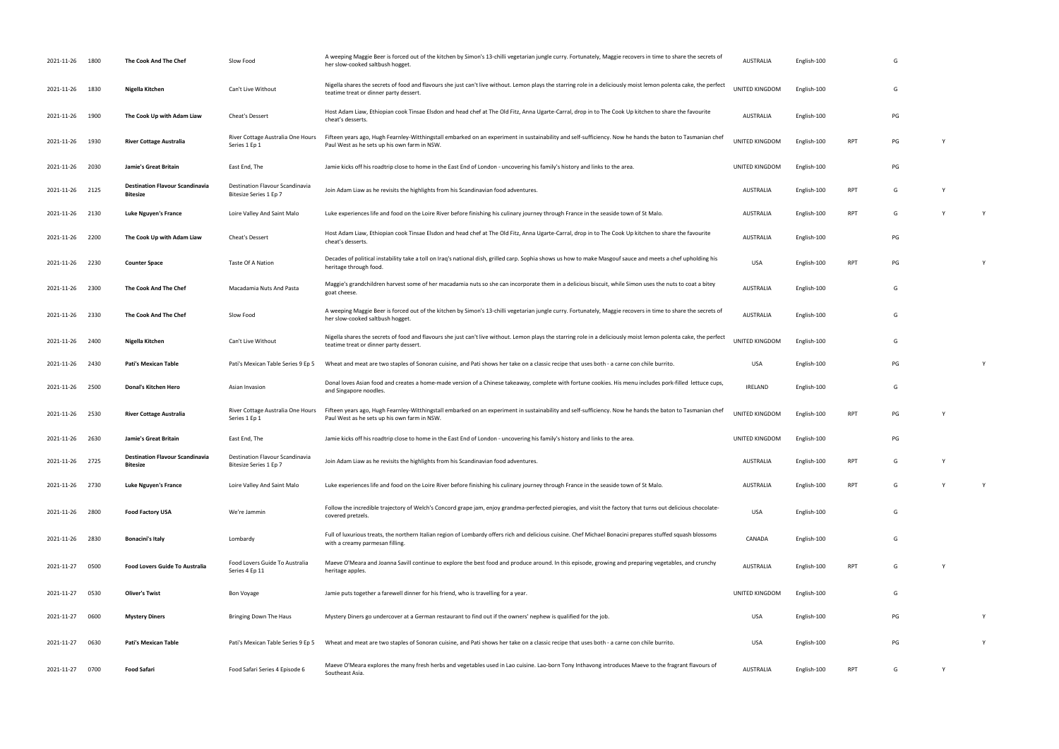| 2021-11-26 1800 |      | The Cook And The Chef                                     | Slow Food                                                 | A weeping Maggie Beer is forced out of the kitchen by Simon's 13-chilli vegetarian jungle curry. Fortunately, Maggie recovers in time to share the secrets of<br>her slow-cooked saltbush hogget.           | AUSTRALIA        | English-100 |            | G  |   |   |
|-----------------|------|-----------------------------------------------------------|-----------------------------------------------------------|-------------------------------------------------------------------------------------------------------------------------------------------------------------------------------------------------------------|------------------|-------------|------------|----|---|---|
| 2021-11-26 1830 |      | Nigella Kitchen                                           | Can't Live Without                                        | Nigella shares the secrets of food and flavours she just can't live without. Lemon plays the starring role in a deliciously moist lemon polenta cake, the perfect<br>teatime treat or dinner party dessert. | UNITED KINGDOM   | English-100 |            | G  |   |   |
| 2021-11-26      | 1900 | The Cook Up with Adam Liaw                                | Cheat's Dessert                                           | Host Adam Liaw, Ethiopian cook Tinsae Elsdon and head chef at The Old Fitz, Anna Ugarte-Carral, drop in to The Cook Up kitchen to share the favourite<br>cheat's desserts.                                  | AUSTRALIA        | English-100 |            | PG |   |   |
| 2021-11-26      | 1930 | <b>River Cottage Australia</b>                            | River Cottage Australia One Hours<br>Series 1 Ep 1        | Fifteen years ago, Hugh Fearnley-Witthingstall embarked on an experiment in sustainability and self-sufficiency. Now he hands the baton to Tasmanian chef<br>Paul West as he sets up his own farm in NSW.   | UNITED KINGDOM   | English-100 | <b>RPT</b> | PG |   |   |
| 2021-11-26      | 2030 | Jamie's Great Britain                                     | East End, The                                             | Jamie kicks off his roadtrip close to home in the East End of London - uncovering his family's history and links to the area.                                                                               | UNITED KINGDOM   | English-100 |            | PG |   |   |
| 2021-11-26 2125 |      | <b>Destination Flavour Scandinavia</b><br>Bitesize        | Destination Flavour Scandinavia<br>Bitesize Series 1 Ep 7 | Join Adam Liaw as he revisits the highlights from his Scandinavian food adventures.                                                                                                                         | AUSTRALIA        | English-100 | <b>RPT</b> | G  |   |   |
| 2021-11-26 2130 |      | <b>Luke Nguyen's France</b>                               | Loire Valley And Saint Malo                               | Luke experiences life and food on the Loire River before finishing his culinary journey through France in the seaside town of St Malo.                                                                      | AUSTRALIA        | English-100 | <b>RPT</b> | G  |   | Y |
| 2021-11-26 2200 |      | The Cook Up with Adam Liaw                                | Cheat's Dessert                                           | Host Adam Liaw, Ethiopian cook Tinsae Elsdon and head chef at The Old Fitz, Anna Ugarte-Carral, drop in to The Cook Up kitchen to share the favourite<br>cheat's desserts.                                  | <b>AUSTRALIA</b> | English-100 |            | PG |   |   |
| 2021-11-26      | 2230 | <b>Counter Space</b>                                      | Taste Of A Nation                                         | Decades of political instability take a toll on Iraq's national dish, grilled carp. Sophia shows us how to make Masgouf sauce and meets a chef upholding his<br>heritage through food.                      | <b>USA</b>       | English-100 | <b>RPT</b> | PG |   |   |
| 2021-11-26 2300 |      | The Cook And The Chef                                     | Macadamia Nuts And Pasta                                  | Maggie's grandchildren harvest some of her macadamia nuts so she can incorporate them in a delicious biscuit, while Simon uses the nuts to coat a bitey<br>goat cheese.                                     | <b>AUSTRALIA</b> | English-100 |            | G  |   |   |
| 2021-11-26 2330 |      | The Cook And The Chef                                     | Slow Food                                                 | A weeping Maggie Beer is forced out of the kitchen by Simon's 13-chilli vegetarian jungle curry. Fortunately, Maggie recovers in time to share the secrets of<br>her slow-cooked saltbush hogget.           | <b>AUSTRALIA</b> | English-100 |            | G  |   |   |
| 2021-11-26      | 2400 | Nigella Kitchen                                           | Can't Live Without                                        | Nigella shares the secrets of food and flavours she just can't live without. Lemon plays the starring role in a deliciously moist lemon polenta cake, the perfect<br>teatime treat or dinner party dessert. | UNITED KINGDOM   | English-100 |            | G  |   |   |
| 2021-11-26      | 2430 | Pati's Mexican Table                                      | Pati's Mexican Table Series 9 Ep 5                        | Wheat and meat are two staples of Sonoran cuisine, and Pati shows her take on a classic recipe that uses both - a carne con chile burrito.                                                                  | <b>USA</b>       | English-100 |            | PG |   |   |
| 2021-11-26 2500 |      | Donal's Kitchen Hero                                      | Asian Invasion                                            | Donal loves Asian food and creates a home-made version of a Chinese takeaway, complete with fortune cookies. His menu includes pork-filled lettuce cups,<br>and Singapore noodles.                          | IRELAND          | English-100 |            | G  |   |   |
| 2021-11-26 2530 |      | <b>River Cottage Australia</b>                            | River Cottage Australia One Hours<br>Series 1 Ep 1        | Fifteen years ago, Hugh Fearnley-Witthingstall embarked on an experiment in sustainability and self-sufficiency. Now he hands the baton to Tasmanian chef<br>Paul West as he sets up his own farm in NSW.   | UNITED KINGDOM   | English-100 | <b>RPT</b> | PG |   |   |
| 2021-11-26 2630 |      | Jamie's Great Britain                                     | East End, The                                             | Jamie kicks off his roadtrip close to home in the East End of London - uncovering his family's history and links to the area.                                                                               | UNITED KINGDOM   | English-100 |            | PG |   |   |
| 2021-11-26 2725 |      | <b>Destination Flavour Scandinavia</b><br><b>Bitesize</b> | Destination Flavour Scandinavia<br>Bitesize Series 1 Ep 7 | Join Adam Liaw as he revisits the highlights from his Scandinavian food adventures.                                                                                                                         | AUSTRALIA        | English-100 | RPT        | G  |   |   |
| 2021-11-26 2730 |      | <b>Luke Nguyen's France</b>                               | Loire Valley And Saint Malo                               | Luke experiences life and food on the Loire River before finishing his culinary journey through France in the seaside town of St Malo.                                                                      | AUSTRALIA        | English-100 | <b>RPT</b> | G  |   | Y |
| 2021-11-26      | 2800 | <b>Food Factory USA</b>                                   | We're Jammin                                              | Follow the incredible trajectory of Welch's Concord grape jam, enjoy grandma-perfected pierogies, and visit the factory that turns out delicious chocolate-<br>covered pretzels.                            | <b>USA</b>       | English-100 |            | G  |   |   |
| 2021-11-26 2830 |      | Bonacini's Italy                                          | Lombardy                                                  | Full of luxurious treats, the northern Italian region of Lombardy offers rich and delicious cuisine. Chef Michael Bonacini prepares stuffed squash blossoms<br>with a creamy parmesan filling.              | CANADA           | English-100 |            | G  |   |   |
| 2021-11-27      | 0500 | <b>Food Lovers Guide To Australia</b>                     | Food Lovers Guide To Australia<br>Series 4 Ep 11          | Maeve O'Meara and Joanna Savill continue to explore the best food and produce around. In this episode, growing and preparing vegetables, and crunchy<br>heritage apples.                                    | <b>AUSTRALIA</b> | English-100 | RPT        | G  |   |   |
| 2021-11-27      | 0530 | <b>Oliver's Twist</b>                                     | Bon Voyage                                                | Jamie puts together a farewell dinner for his friend, who is travelling for a year.                                                                                                                         | UNITED KINGDOM   | English-100 |            | G  |   |   |
| 2021-11-27      | 0600 | <b>Mystery Diners</b>                                     | Bringing Down The Haus                                    | Mystery Diners go undercover at a German restaurant to find out if the owners' nephew is qualified for the job.                                                                                             | USA              | English-100 |            | PG |   |   |
| 2021-11-27      | 0630 | Pati's Mexican Table                                      | Pati's Mexican Table Series 9 Ep 5                        | Wheat and meat are two staples of Sonoran cuisine, and Pati shows her take on a classic recipe that uses both - a carne con chile burrito.                                                                  | <b>USA</b>       | English-100 |            | PG |   |   |
| 2021-11-27      | 0700 | Food Safari                                               | Food Safari Series 4 Episode 6                            | Maeve O'Meara explores the many fresh herbs and vegetables used in Lao cuisine. Lao-born Tony Inthavong introduces Maeve to the fragrant flavours of<br>Southeast Asia.                                     | AUSTRALIA        | English-100 | <b>RPT</b> | G  | Y |   |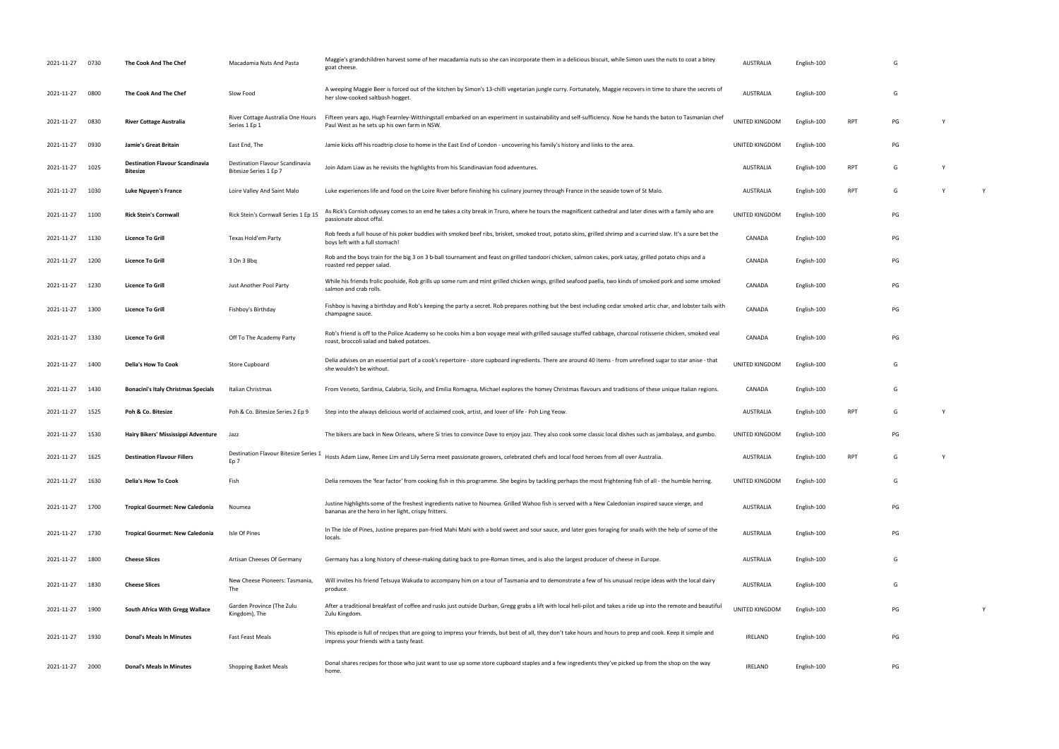| 2021-11-27      | 0730 | The Cook And The Chef                                     | Macadamia Nuts And Pasta                                  | Maggie's grandchildren harvest some of her macadamia nuts so she can incorporate them in a delicious biscuit, while Simon uses the nuts to coat a bitey<br>goat cheese                                     | AUSTRALIA      | English-100 |            | G  |   |
|-----------------|------|-----------------------------------------------------------|-----------------------------------------------------------|------------------------------------------------------------------------------------------------------------------------------------------------------------------------------------------------------------|----------------|-------------|------------|----|---|
| 2021-11-27      | 0800 | The Cook And The Chef                                     | Slow Food                                                 | A weeping Maggie Beer is forced out of the kitchen by Simon's 13-chilli vegetarian jungle curry. Fortunately, Maggie recovers in time to share the secrets of<br>her slow-cooked saltbush hogget.          | AUSTRALIA      | English-100 |            | G  |   |
| 2021-11-27      | 0830 | <b>River Cottage Australia</b>                            | River Cottage Australia One Hours<br>Series 1 Ep 1        | Fifteen years ago, Hugh Fearnley-Witthingstall embarked on an experiment in sustainability and self-sufficiency. Now he hands the baton to Tasmanian chef<br>Paul West as he sets up his own farm in NSW.  | UNITED KINGDOM | English-100 | RPT        | PG |   |
| 2021-11-27      | 0930 | Jamie's Great Britain                                     | East End, The                                             | Jamie kicks off his roadtrip close to home in the East End of London - uncovering his family's history and links to the area.                                                                              | UNITED KINGDOM | English-100 |            | PG |   |
| 2021-11-27      | 1025 | <b>Destination Flavour Scandinavia</b><br><b>Bitesize</b> | Destination Flavour Scandinavia<br>Bitesize Series 1 Ep 7 | Join Adam Liaw as he revisits the highlights from his Scandinavian food adventures.                                                                                                                        | AUSTRALIA      | English-100 | RPT        | G  |   |
| 2021-11-27      | 1030 | Luke Nguyen's France                                      | Loire Valley And Saint Malo                               | Luke experiences life and food on the Loire River before finishing his culinary journey through France in the seaside town of St Malo.                                                                     | AUSTRALIA      | English-100 | <b>RPT</b> | G  |   |
| 2021-11-27      | 1100 | <b>Rick Stein's Cornwall</b>                              | Rick Stein's Cornwall Series 1 Ep 15                      | As Rick's Cornish odyssey comes to an end he takes a city break in Truro, where he tours the magnificent cathedral and later dines with a family who are<br>passionate about offal.                        | UNITED KINGDOM | English-100 |            | PG |   |
| 2021-11-27      | 1130 | <b>Licence To Grill</b>                                   | Texas Hold'em Party                                       | Rob feeds a full house of his poker buddies with smoked beef ribs, brisket, smoked trout, potato skins, grilled shrimp and a curried slaw. It's a sure bet the<br>boys left with a full stomach!           | CANADA         | English-100 |            | PG |   |
| 2021-11-27      | 1200 | <b>Licence To Grill</b>                                   | 3 On 3 Bbq                                                | Rob and the boys train for the big 3 on 3 b-ball tournament and feast on grilled tandoori chicken, salmon cakes, pork satay, grilled potato chips and a<br>roasted red pepper salad.                       | CANADA         | English-100 |            | PG |   |
| 2021-11-27      | 1230 | <b>Licence To Grill</b>                                   | Just Another Pool Party                                   | While his friends frolic poolside, Rob grills up some rum and mint grilled chicken wings, grilled seafood paella, two kinds of smoked pork and some smoked<br>salmon and crab rolls.                       | CANADA         | English-100 |            | PG |   |
| 2021-11-27      | 1300 | <b>Licence To Grill</b>                                   | Fishboy's Birthday                                        | Fishboy is having a birthday and Rob's keeping the party a secret. Rob prepares nothing but the best including cedar smoked artic char, and lobster tails with<br>champagne sauce.                         | CANADA         | English-100 |            | PG |   |
| 2021-11-27      | 1330 | <b>Licence To Grill</b>                                   | Off To The Academy Party                                  | Rob's friend is off to the Police Academy so he cooks him a bon voyage meal with grilled sausage stuffed cabbage, charcoal rotisserie chicken, smoked veal<br>roast, broccoli salad and baked potatoes.    | CANADA         | English-100 |            | PG |   |
| 2021-11-27      | 1400 | Delia's How To Cook                                       | Store Cupboard                                            | Delia advises on an essential part of a cook's repertoire - store cupboard ingredients. There are around 40 items - from unrefined sugar to star anise - that<br>she wouldn't be without.                  | UNITED KINGDOM | English-100 |            | G  |   |
| 2021-11-27      | 1430 | <b>Bonacini's Italy Christmas Specials</b>                | Italian Christmas                                         | From Veneto, Sardinia, Calabria, Sicily, and Emilia Romagna, Michael explores the homey Christmas flavours and traditions of these unique Italian regions.                                                 | CANADA         | English-100 |            | G  |   |
| 2021-11-27      | 1525 | Poh & Co. Bitesize                                        | Poh & Co. Bitesize Series 2 Ep 9                          | Step into the always delicious world of acclaimed cook, artist, and lover of life - Poh Ling Yeow.                                                                                                         | AUSTRALIA      | English-100 | <b>RPT</b> | G  |   |
| 2021-11-27      | 1530 | Hairy Bikers' Mississippi Adventure                       | Jazz                                                      | The bikers are back in New Orleans, where Si tries to convince Dave to enjoy jazz. They also cook some classic local dishes such as jambalaya, and gumbo.                                                  | UNITED KINGDOM | English-100 |            | PG |   |
| 2021-11-27 1625 |      | <b>Destination Flavour Fillers</b>                        | Destination Flavour Bitesize Series 1<br>Ep <sub>7</sub>  | Hosts Adam Liaw, Renee Lim and Lily Serna meet passionate growers, celebrated chefs and local food heroes from all over Australia.                                                                         | AUSTRALIA      | English-100 | RPT        | G  |   |
| 2021-11-27      | 1630 | <b>Delia's How To Cook</b>                                | Fish                                                      | Delia removes the 'fear factor' from cooking fish in this programme. She begins by tackling perhaps the most frightening fish of all - the humble herring.                                                 | UNITED KINGDOM | English-100 |            | G  |   |
| 2021-11-27 1700 |      | <b>Tropical Gourmet: New Caledonia</b>                    | Noumea                                                    | Justine highlights some of the freshest ingredients native to Noumea. Grilled Wahoo fish is served with a New Caledonian inspired sauce vierge, and<br>bananas are the hero in her light, crispy fritters. | AUSTRALIA      | English-100 |            | PG |   |
| 2021-11-27      | 1730 | <b>Tropical Gourmet: New Caledonia</b>                    | Isle Of Pines                                             | In The Isle of Pines, Justine prepares pan-fried Mahi Mahi with a bold sweet and sour sauce, and later goes foraging for snails with the help of some of the<br>locals.                                    | AUSTRALIA      | English-100 |            | PG |   |
| 2021-11-27      | 1800 | <b>Cheese Slices</b>                                      | Artisan Cheeses Of Germany                                | Germany has a long history of cheese-making dating back to pre-Roman times, and is also the largest producer of cheese in Europe.                                                                          | AUSTRALIA      | English-100 |            | G  |   |
| 2021-11-27      | 1830 | <b>Cheese Slices</b>                                      | New Cheese Pioneers: Tasmania,<br>The                     | Will invites his friend Tetsuya Wakuda to accompany him on a tour of Tasmania and to demonstrate a few of his unusual recipe ideas with the local dairy<br>produce.                                        | AUSTRALIA      | English-100 |            | G  |   |
| 2021-11-27      | 1900 | South Africa With Gregg Wallace                           | Garden Province (The Zulu<br>Kingdom), The                | After a traditional breakfast of coffee and rusks just outside Durban, Gregg grabs a lift with local heli-pilot and takes a ride up into the remote and beautiful<br>Zulu Kingdom.                         | UNITED KINGDOM | English-100 |            | PG | Y |
| 2021-11-27      | 1930 | <b>Donal's Meals In Minutes</b>                           | <b>Fast Feast Meals</b>                                   | This episode is full of recipes that are going to impress your friends, but best of all, they don't take hours and hours to prep and cook. Keep it simple and<br>impress your friends with a tasty feast.  | IRELAND        | English-100 |            | PG |   |
| 2021-11-27      | 2000 | <b>Donal's Meals In Minutes</b>                           | Shopping Basket Meals                                     | Donal shares recipes for those who just want to use up some store cupboard staples and a few ingredients they've picked up from the shop on the way<br>home.                                               | IRELAND        | English-100 |            | PG |   |